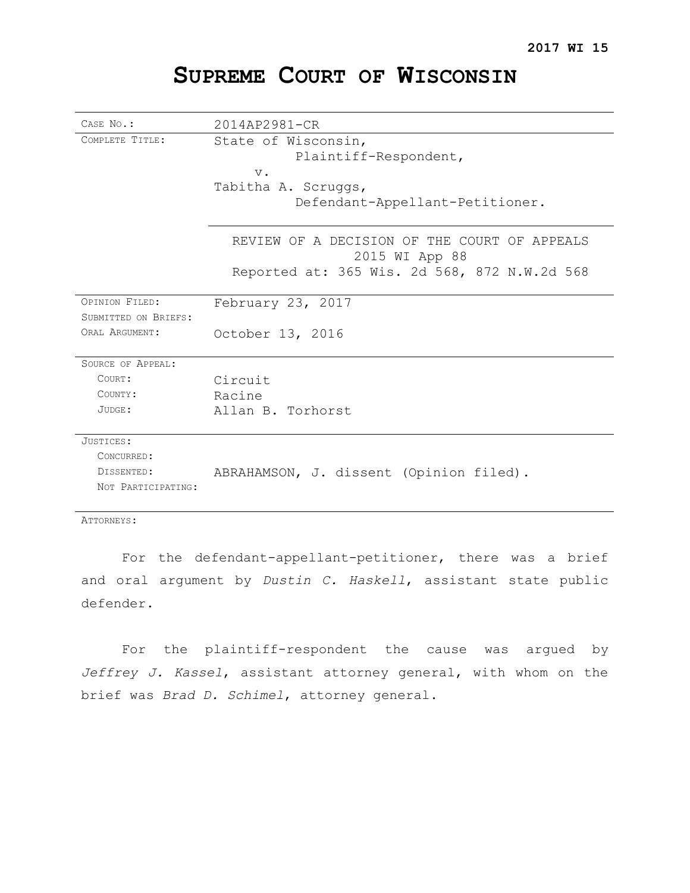# **SUPREME COURT OF WISCONSIN**

| CASE No.:            | 2014AP2981-CR                                                  |
|----------------------|----------------------------------------------------------------|
| COMPLETE TITLE:      | State of Wisconsin,<br>Plaintiff-Respondent,                   |
|                      | $V$ .                                                          |
|                      | Tabitha A. Scruggs,                                            |
|                      | Defendant-Appellant-Petitioner.                                |
|                      | REVIEW OF A DECISION OF THE COURT OF APPEALS<br>2015 WI App 88 |
|                      | Reported at: 365 Wis. 2d 568, 872 N.W.2d 568                   |
| OPINION FILED:       | February 23, 2017                                              |
| SUBMITTED ON BRIEFS: |                                                                |
| ORAL ARGUMENT:       | October 13, 2016                                               |
| SOURCE OF APPEAL:    |                                                                |
| COURT:               | Circuit                                                        |
| COUNTY:              | Racine                                                         |
| JUDGE:               | Allan B. Torhorst                                              |
| JUSTICES:            |                                                                |
| CONCURRED:           |                                                                |
| DISSENTED:           | ABRAHAMSON, J. dissent (Opinion filed).                        |
| NOT PARTICIPATING:   |                                                                |

ATTORNEYS:

For the defendant-appellant-petitioner, there was a brief and oral argument by *Dustin C. Haskell*, assistant state public defender.

For the plaintiff-respondent the cause was argued by *Jeffrey J. Kassel*, assistant attorney general, with whom on the brief was *Brad D. Schimel*, attorney general.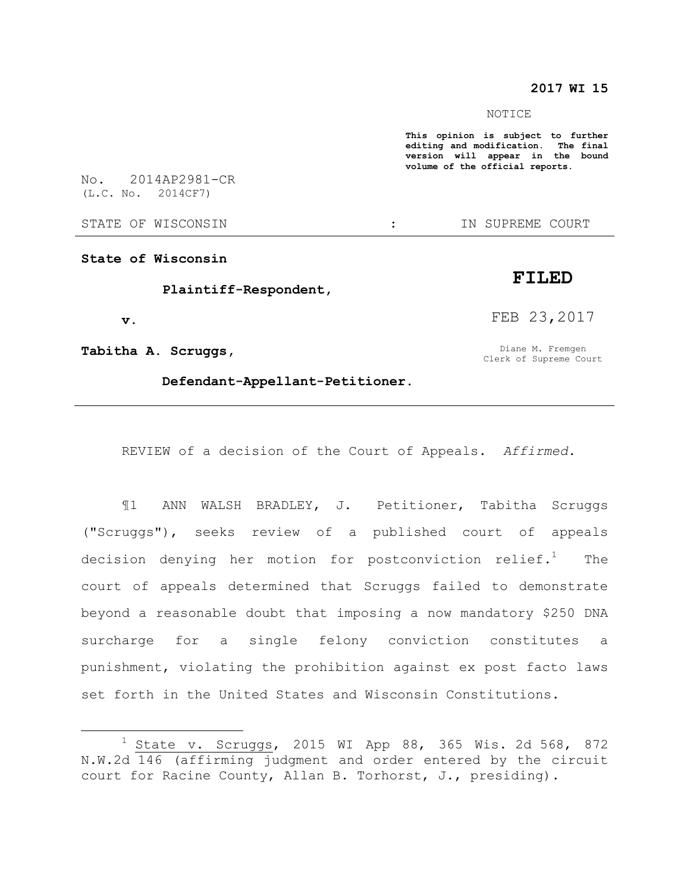### **2017 WI 15**

#### NOTICE

**This opinion is subject to further editing and modification. The final version will appear in the bound volume of the official reports.** 

No. 2014AP2981-CR (L.C. No. 2014CF7)

STATE OF WISCONSIN THE RESERVE STATE OF WISCONSIN THE SERVER SOURT

**State of Wisconsin**

 **Plaintiff-Respondent,**

 **v.**

 $\overline{a}$ 

**Tabitha A. Scruggs,**

 **Defendant-Appellant-Petitioner.**

REVIEW of a decision of the Court of Appeals. *Affirmed.*

¶1 ANN WALSH BRADLEY, J. Petitioner, Tabitha Scruggs ("Scruggs"), seeks review of a published court of appeals decision denying her motion for postconviction relief.<sup>1</sup> The court of appeals determined that Scruggs failed to demonstrate beyond a reasonable doubt that imposing a now mandatory \$250 DNA surcharge for a single felony conviction constitutes a punishment, violating the prohibition against ex post facto laws set forth in the United States and Wisconsin Constitutions.

## **FILED**

FEB 23,2017

Diane M. Fremgen Clerk of Supreme Court

 $1$  State v. Scruggs, 2015 WI App 88, 365 Wis. 2d 568, 872 N.W.2d 146 (affirming judgment and order entered by the circuit court for Racine County, Allan B. Torhorst, J., presiding).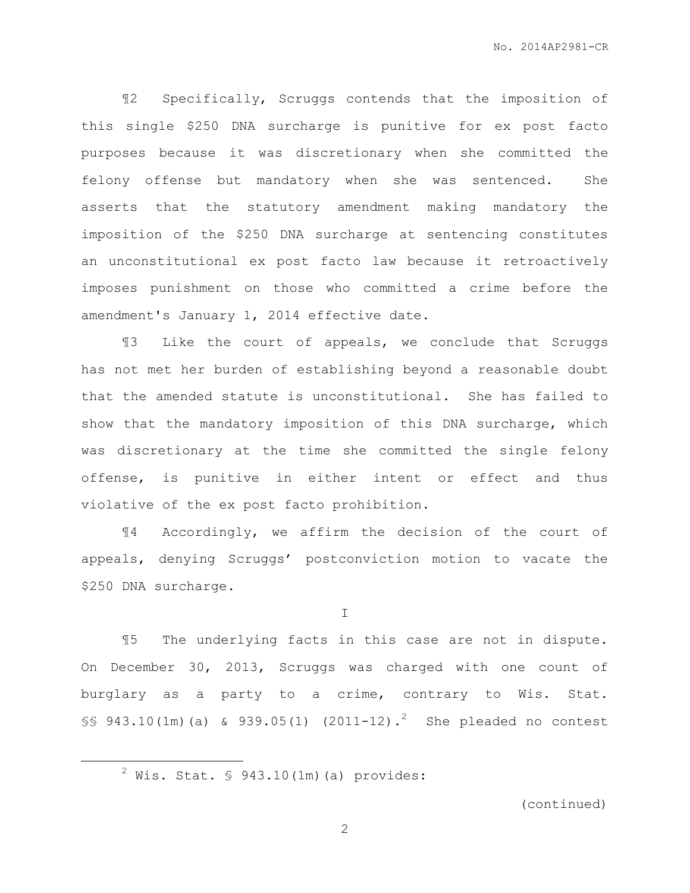¶2 Specifically, Scruggs contends that the imposition of this single \$250 DNA surcharge is punitive for ex post facto purposes because it was discretionary when she committed the felony offense but mandatory when she was sentenced. She asserts that the statutory amendment making mandatory the imposition of the \$250 DNA surcharge at sentencing constitutes an unconstitutional ex post facto law because it retroactively imposes punishment on those who committed a crime before the amendment's January 1, 2014 effective date.

¶3 Like the court of appeals, we conclude that Scruggs has not met her burden of establishing beyond a reasonable doubt that the amended statute is unconstitutional. She has failed to show that the mandatory imposition of this DNA surcharge, which was discretionary at the time she committed the single felony offense, is punitive in either intent or effect and thus violative of the ex post facto prohibition.

¶4 Accordingly, we affirm the decision of the court of appeals, denying Scruggs' postconviction motion to vacate the \$250 DNA surcharge.

I

¶5 The underlying facts in this case are not in dispute. On December 30, 2013, Scruggs was charged with one count of burglary as a party to a crime, contrary to Wis. Stat. §§ 943.10(1m)(a) & 939.05(1) (2011-12).<sup>2</sup> She pleaded no contest

 $\overline{a}$ 

(continued)

 $2$  Wis. Stat. § 943.10(1m)(a) provides: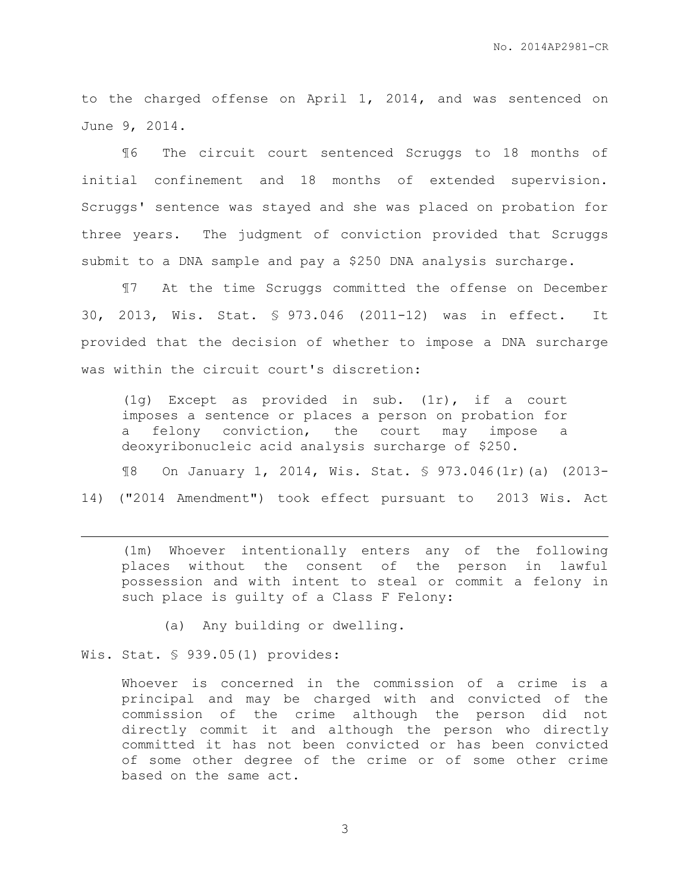to the charged offense on April 1, 2014, and was sentenced on June 9, 2014.

¶6 The circuit court sentenced Scruggs to 18 months of initial confinement and 18 months of extended supervision. Scruggs' sentence was stayed and she was placed on probation for three years. The judgment of conviction provided that Scruggs submit to a DNA sample and pay a \$250 DNA analysis surcharge.

¶7 At the time Scruggs committed the offense on December 30, 2013, Wis. Stat. § 973.046 (2011-12) was in effect. It provided that the decision of whether to impose a DNA surcharge was within the circuit court's discretion:

(1g) Except as provided in sub. (1r), if a court imposes a sentence or places a person on probation for a felony conviction, the court may impose a deoxyribonucleic acid analysis surcharge of \$250.

¶8 On January 1, 2014, Wis. Stat. § 973.046(1r)(a) (2013- 14) ("2014 Amendment") took effect pursuant to 2013 Wis. Act

(1m) Whoever intentionally enters any of the following places without the consent of the person in lawful possession and with intent to steal or commit a felony in such place is quilty of a Class F Felony:

(a) Any building or dwelling.

Wis. Stat. § 939.05(1) provides:

 $\overline{a}$ 

Whoever is concerned in the commission of a crime is a principal and may be charged with and convicted of the commission of the crime although the person did not directly commit it and although the person who directly committed it has not been convicted or has been convicted of some other degree of the crime or of some other crime based on the same act.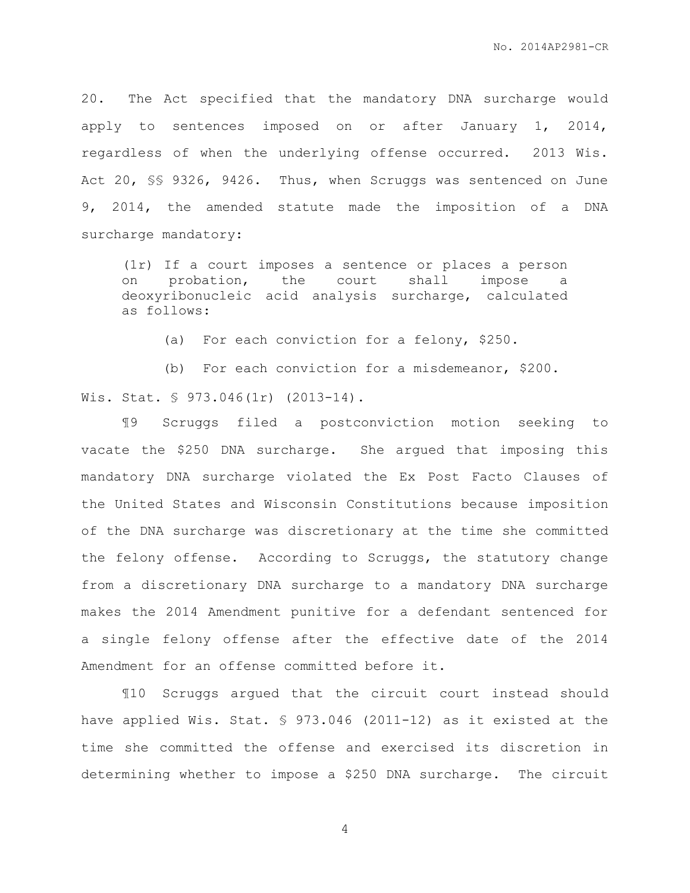20. The Act specified that the mandatory DNA surcharge would apply to sentences imposed on or after January 1, 2014, regardless of when the underlying offense occurred. 2013 Wis. Act 20, §§ 9326, 9426. Thus, when Scruggs was sentenced on June 9, 2014, the amended statute made the imposition of a DNA surcharge mandatory:

(1r) If a court imposes a sentence or places a person on probation, the court shall impose a deoxyribonucleic acid analysis surcharge, calculated as follows:

(a) For each conviction for a felony, \$250.

(b) For each conviction for a misdemeanor, \$200.

Wis. Stat. § 973.046(1r) (2013-14).

¶9 Scruggs filed a postconviction motion seeking to vacate the \$250 DNA surcharge. She argued that imposing this mandatory DNA surcharge violated the Ex Post Facto Clauses of the United States and Wisconsin Constitutions because imposition of the DNA surcharge was discretionary at the time she committed the felony offense. According to Scruggs, the statutory change from a discretionary DNA surcharge to a mandatory DNA surcharge makes the 2014 Amendment punitive for a defendant sentenced for a single felony offense after the effective date of the 2014 Amendment for an offense committed before it.

¶10 Scruggs argued that the circuit court instead should have applied Wis. Stat. § 973.046 (2011-12) as it existed at the time she committed the offense and exercised its discretion in determining whether to impose a \$250 DNA surcharge. The circuit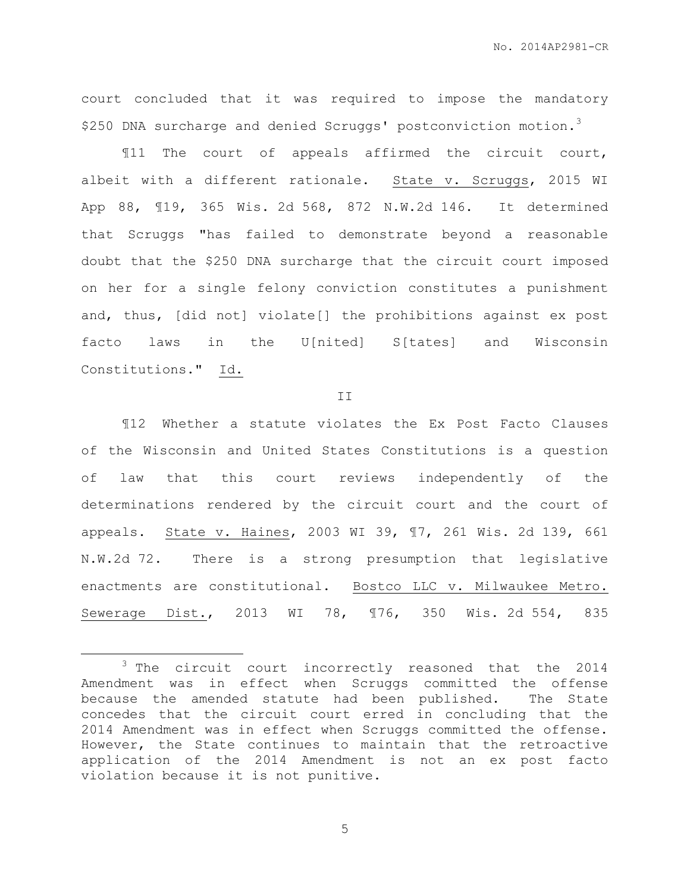court concluded that it was required to impose the mandatory \$250 DNA surcharge and denied Scruggs' postconviction motion.<sup>3</sup>

¶11 The court of appeals affirmed the circuit court, albeit with a different rationale. State v. Scruggs, 2015 WI App 88, ¶19, 365 Wis. 2d 568, 872 N.W.2d 146. It determined that Scruggs "has failed to demonstrate beyond a reasonable doubt that the \$250 DNA surcharge that the circuit court imposed on her for a single felony conviction constitutes a punishment and, thus, [did not] violate[] the prohibitions against ex post facto laws in the U[nited] S[tates] and Wisconsin Constitutions." Id.

II

¶12 Whether a statute violates the Ex Post Facto Clauses of the Wisconsin and United States Constitutions is a question of law that this court reviews independently of the determinations rendered by the circuit court and the court of appeals. State v. Haines, 2003 WI 39, ¶7, 261 Wis. 2d 139, 661 N.W.2d 72. There is a strong presumption that legislative enactments are constitutional. Bostco LLC v. Milwaukee Metro. Sewerage Dist., 2013 WI 78, ¶76, 350 Wis. 2d 554, 835

 $\overline{a}$ 

<sup>3</sup> The circuit court incorrectly reasoned that the 2014 Amendment was in effect when Scruggs committed the offense because the amended statute had been published. The State concedes that the circuit court erred in concluding that the 2014 Amendment was in effect when Scruggs committed the offense. However, the State continues to maintain that the retroactive application of the 2014 Amendment is not an ex post facto violation because it is not punitive.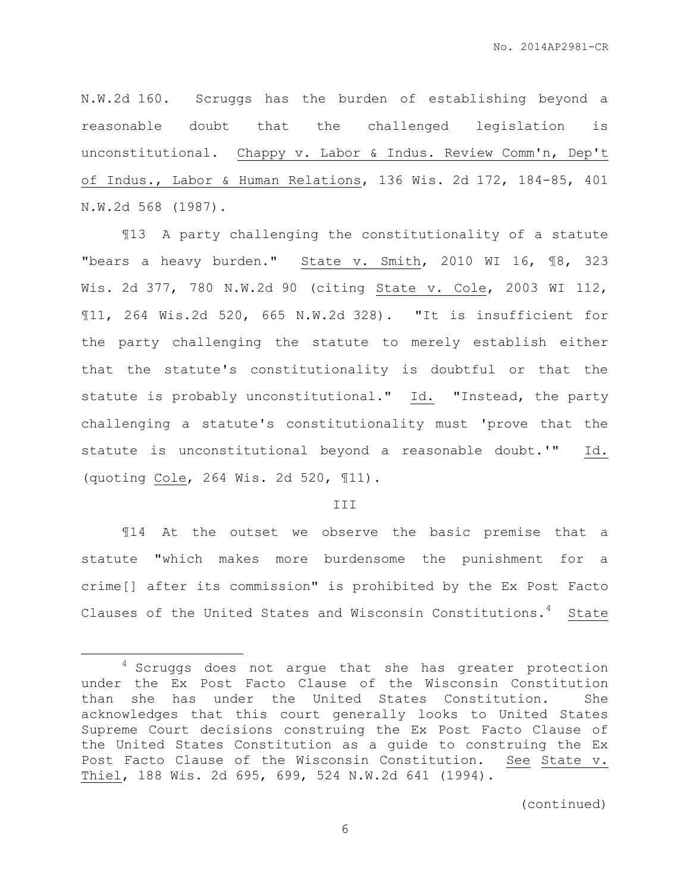N.W.2d 160. Scruggs has the burden of establishing beyond a reasonable doubt that the challenged legislation is unconstitutional. Chappy v. Labor & Indus. Review Comm'n, Dep't of Indus., Labor & Human Relations, 136 Wis. 2d 172, 184-85, 401 N.W.2d 568 (1987).

¶13 A party challenging the constitutionality of a statute "bears a heavy burden." State v. Smith, 2010 WI 16, ¶8, 323 Wis. 2d 377, 780 N.W.2d 90 (citing State v. Cole, 2003 WI 112, ¶11, 264 Wis.2d 520, 665 N.W.2d 328). "It is insufficient for the party challenging the statute to merely establish either that the statute's constitutionality is doubtful or that the statute is probably unconstitutional." Id. "Instead, the party challenging a statute's constitutionality must 'prove that the statute is unconstitutional beyond a reasonable doubt.'" Id. (quoting Cole, 264 Wis. 2d 520, ¶11).

### III

¶14 At the outset we observe the basic premise that a statute "which makes more burdensome the punishment for a crime[] after its commission" is prohibited by the Ex Post Facto Clauses of the United States and Wisconsin Constitutions.<sup>4</sup> State

 $\overline{a}$ 

<sup>&</sup>lt;sup>4</sup> Scruggs does not argue that she has greater protection under the Ex Post Facto Clause of the Wisconsin Constitution than she has under the United States Constitution. She acknowledges that this court generally looks to United States Supreme Court decisions construing the Ex Post Facto Clause of the United States Constitution as a guide to construing the Ex Post Facto Clause of the Wisconsin Constitution. See State v. Thiel, 188 Wis. 2d 695, 699, 524 N.W.2d 641 (1994).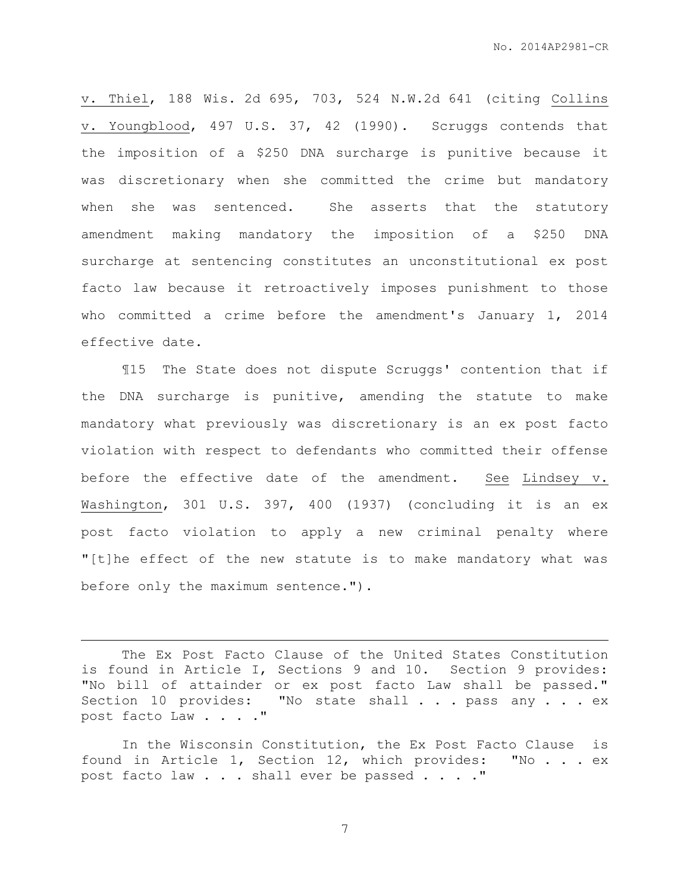v. Thiel, 188 Wis. 2d 695, 703, 524 N.W.2d 641 (citing Collins v. Youngblood, 497 U.S. 37, 42 (1990). Scruggs contends that the imposition of a \$250 DNA surcharge is punitive because it was discretionary when she committed the crime but mandatory when she was sentenced. She asserts that the statutory amendment making mandatory the imposition of a \$250 DNA surcharge at sentencing constitutes an unconstitutional ex post facto law because it retroactively imposes punishment to those who committed a crime before the amendment's January 1, 2014 effective date.

¶15 The State does not dispute Scruggs' contention that if the DNA surcharge is punitive, amending the statute to make mandatory what previously was discretionary is an ex post facto violation with respect to defendants who committed their offense before the effective date of the amendment. See Lindsey v. Washington, 301 U.S. 397, 400 (1937) (concluding it is an ex post facto violation to apply a new criminal penalty where "[t]he effect of the new statute is to make mandatory what was before only the maximum sentence.").

The Ex Post Facto Clause of the United States Constitution is found in Article I, Sections 9 and 10. Section 9 provides: "No bill of attainder or ex post facto Law shall be passed." Section 10 provides: "No state shall . . . pass any . . . ex post facto Law . . . ."

 $\overline{a}$ 

In the Wisconsin Constitution, the Ex Post Facto Clause is found in Article 1, Section 12, which provides: "No . . . ex post facto law . . . shall ever be passed . . . ."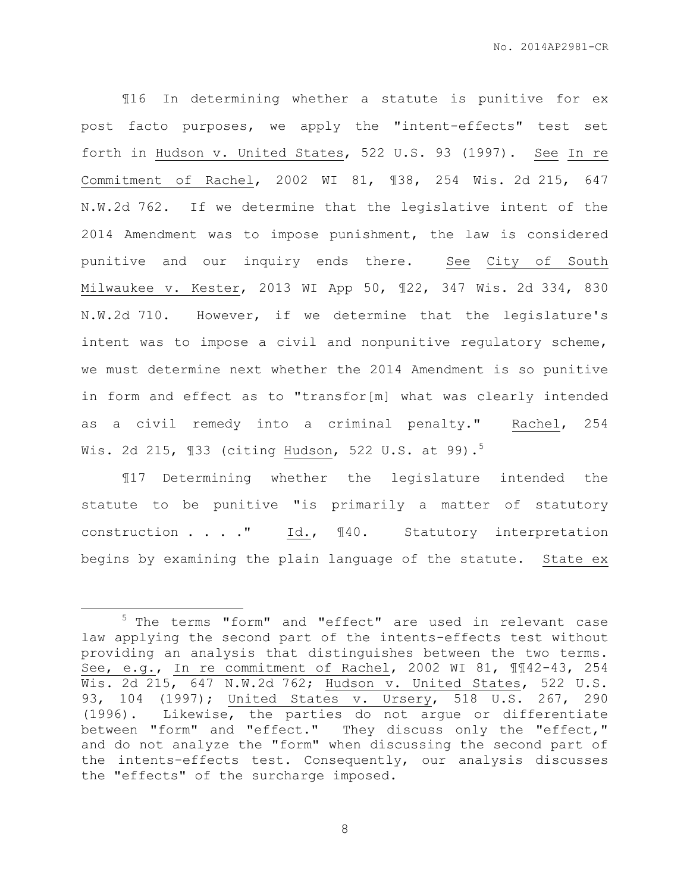¶16 In determining whether a statute is punitive for ex post facto purposes, we apply the "intent-effects" test set forth in Hudson v. United States, 522 U.S. 93 (1997). See In re Commitment of Rachel, 2002 WI 81, ¶38, 254 Wis. 2d 215, 647 N.W.2d 762. If we determine that the legislative intent of the 2014 Amendment was to impose punishment, the law is considered punitive and our inquiry ends there. See City of South Milwaukee v. Kester, 2013 WI App 50, ¶22, 347 Wis. 2d 334, 830 N.W.2d 710. However, if we determine that the legislature's intent was to impose a civil and nonpunitive regulatory scheme, we must determine next whether the 2014 Amendment is so punitive in form and effect as to "transfor[m] what was clearly intended as a civil remedy into a criminal penalty." Rachel, 254 Wis. 2d 215,  $\sqrt{33}$  (citing Hudson, 522 U.S. at 99).<sup>5</sup>

¶17 Determining whether the legislature intended the statute to be punitive "is primarily a matter of statutory construction . . . ." Id., ¶40. Statutory interpretation begins by examining the plain language of the statute. State ex

 $\overline{a}$ 

<sup>&</sup>lt;sup>5</sup> The terms "form" and "effect" are used in relevant case law applying the second part of the intents-effects test without providing an analysis that distinguishes between the two terms. See, e.g., In re commitment of Rachel, 2002 WI 81, ¶¶42-43, 254 Wis. 2d 215, 647 N.W.2d 762; Hudson v. United States, 522 U.S. 93, 104 (1997); United States v. Ursery, 518 U.S. 267, 290 (1996). Likewise, the parties do not argue or differentiate between "form" and "effect." They discuss only the "effect," and do not analyze the "form" when discussing the second part of the intents-effects test. Consequently, our analysis discusses the "effects" of the surcharge imposed.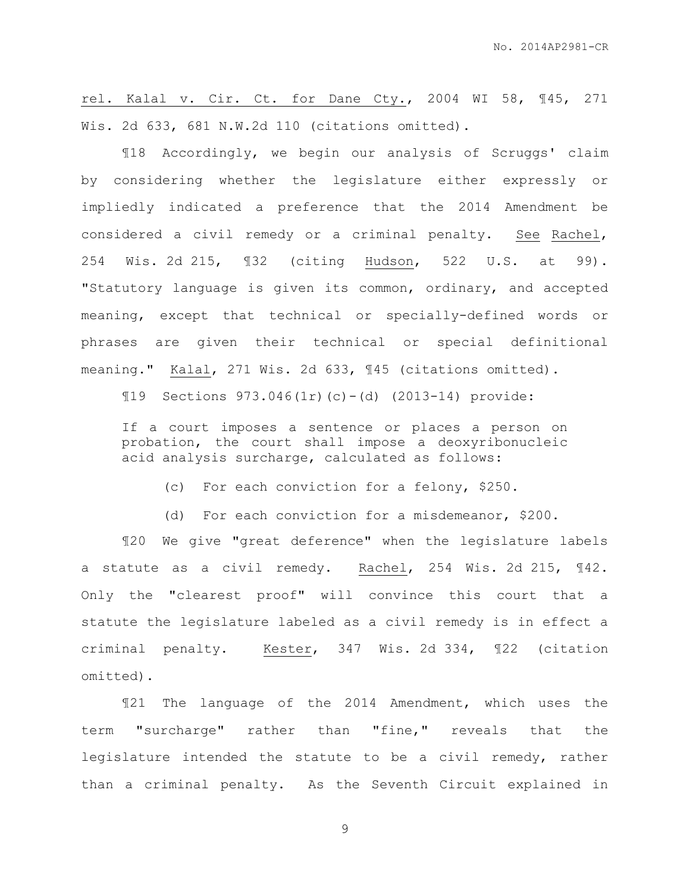rel. Kalal v. Cir. Ct. for Dane Cty., 2004 WI 58, ¶45, 271 Wis. 2d 633, 681 N.W.2d 110 (citations omitted).

¶18 Accordingly, we begin our analysis of Scruggs' claim by considering whether the legislature either expressly or impliedly indicated a preference that the 2014 Amendment be considered a civil remedy or a criminal penalty. See Rachel, 254 Wis. 2d 215, ¶32 (citing Hudson, 522 U.S. at 99). "Statutory language is given its common, ordinary, and accepted meaning, except that technical or specially-defined words or phrases are given their technical or special definitional meaning." Kalal, 271 Wis. 2d 633, ¶45 (citations omitted).

¶19 Sections 973.046(1r)(c)-(d) (2013-14) provide:

If a court imposes a sentence or places a person on probation, the court shall impose a deoxyribonucleic acid analysis surcharge, calculated as follows:

(c) For each conviction for a felony, \$250.

(d) For each conviction for a misdemeanor, \$200.

¶20 We give "great deference" when the legislature labels a statute as a civil remedy. Rachel, 254 Wis. 2d 215, ¶42. Only the "clearest proof" will convince this court that a statute the legislature labeled as a civil remedy is in effect a criminal penalty. Kester, 347 Wis. 2d 334, ¶22 (citation omitted).

¶21 The language of the 2014 Amendment, which uses the term "surcharge" rather than "fine," reveals that the legislature intended the statute to be a civil remedy, rather than a criminal penalty. As the Seventh Circuit explained in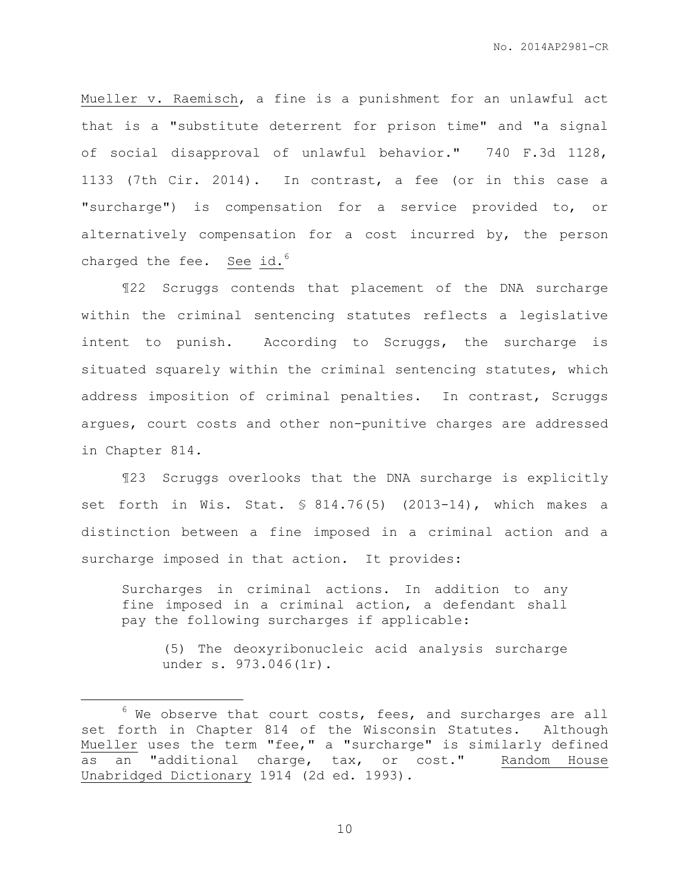Mueller v. Raemisch, a fine is a punishment for an unlawful act that is a "substitute deterrent for prison time" and "a signal of social disapproval of unlawful behavior." 740 F.3d 1128, 1133 (7th Cir. 2014). In contrast, a fee (or in this case a "surcharge") is compensation for a service provided to, or alternatively compensation for a cost incurred by, the person charged the fee. See id. $6$ 

¶22 Scruggs contends that placement of the DNA surcharge within the criminal sentencing statutes reflects a legislative intent to punish. According to Scruggs, the surcharge is situated squarely within the criminal sentencing statutes, which address imposition of criminal penalties. In contrast, Scruggs argues, court costs and other non-punitive charges are addressed in Chapter 814.

¶23 Scruggs overlooks that the DNA surcharge is explicitly set forth in Wis. Stat. § 814.76(5) (2013-14), which makes a distinction between a fine imposed in a criminal action and a surcharge imposed in that action. It provides:

Surcharges in criminal actions. In addition to any fine imposed in a criminal action, a defendant shall pay the following surcharges if applicable:

(5) The deoxyribonucleic acid analysis surcharge under s. 973.046(1r).

 $\overline{a}$ 

 $6$  We observe that court costs, fees, and surcharges are all set forth in Chapter 814 of the Wisconsin Statutes. Although Mueller uses the term "fee," a "surcharge" is similarly defined as an "additional charge, tax, or cost." Random House Unabridged Dictionary 1914 (2d ed. 1993).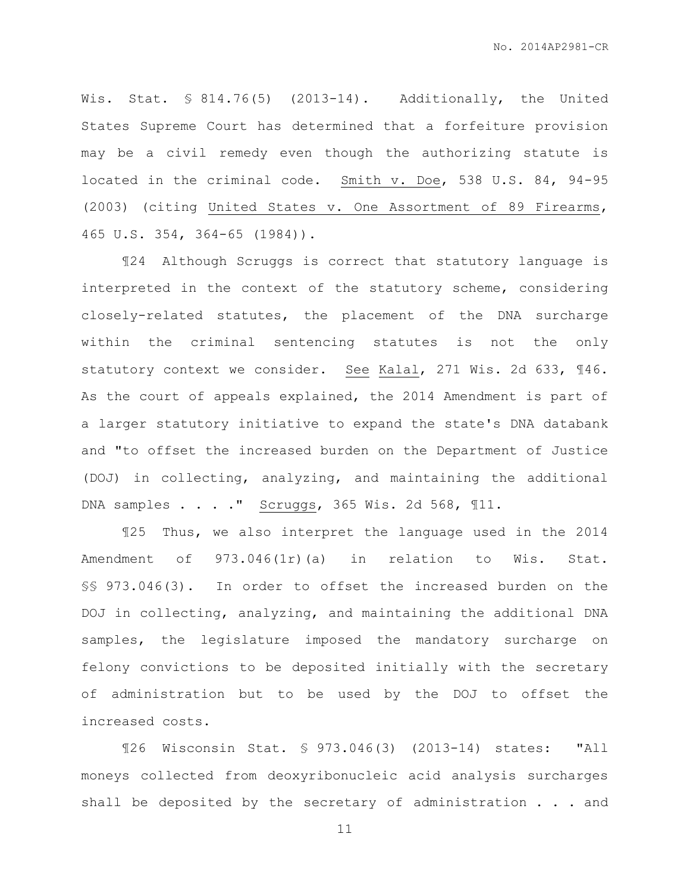Wis. Stat. § 814.76(5) (2013-14). Additionally, the United States Supreme Court has determined that a forfeiture provision may be a civil remedy even though the authorizing statute is located in the criminal code. Smith v. Doe, 538 U.S. 84, 94-95 (2003) (citing United States v. One Assortment of 89 Firearms, 465 U.S. 354, 364-65 (1984)).

¶24 Although Scruggs is correct that statutory language is interpreted in the context of the statutory scheme, considering closely-related statutes, the placement of the DNA surcharge within the criminal sentencing statutes is not the only statutory context we consider. See Kalal, 271 Wis. 2d 633, ¶46. As the court of appeals explained, the 2014 Amendment is part of a larger statutory initiative to expand the state's DNA databank and "to offset the increased burden on the Department of Justice (DOJ) in collecting, analyzing, and maintaining the additional DNA samples . . . ." Scruggs, 365 Wis. 2d 568, ¶11.

¶25 Thus, we also interpret the language used in the 2014 Amendment of 973.046(1r)(a) in relation to Wis. Stat. §§ 973.046(3). In order to offset the increased burden on the DOJ in collecting, analyzing, and maintaining the additional DNA samples, the legislature imposed the mandatory surcharge on felony convictions to be deposited initially with the secretary of administration but to be used by the DOJ to offset the increased costs.

¶26 Wisconsin Stat. § 973.046(3) (2013-14) states: "All moneys collected from deoxyribonucleic acid analysis surcharges shall be deposited by the secretary of administration . . . and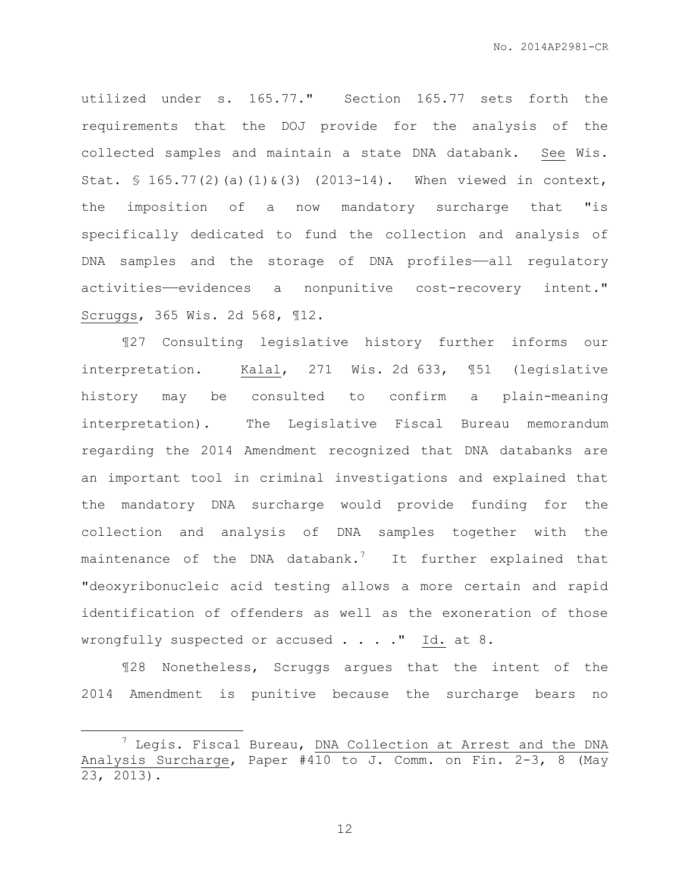utilized under s. 165.77." Section 165.77 sets forth the requirements that the DOJ provide for the analysis of the collected samples and maintain a state DNA databank. See Wis. Stat. § 165.77(2)(a)(1)&(3) (2013-14). When viewed in context, the imposition of a now mandatory surcharge that "is specifically dedicated to fund the collection and analysis of DNA samples and the storage of DNA profiles-all regulatory activities——evidences a nonpunitive cost-recovery intent." Scruggs, 365 Wis. 2d 568, ¶12.

¶27 Consulting legislative history further informs our interpretation. Kalal, 271 Wis. 2d 633, ¶51 (legislative history may be consulted to confirm a plain-meaning interpretation). The Legislative Fiscal Bureau memorandum regarding the 2014 Amendment recognized that DNA databanks are an important tool in criminal investigations and explained that the mandatory DNA surcharge would provide funding for the collection and analysis of DNA samples together with the maintenance of the DNA databank.<sup>7</sup> It further explained that "deoxyribonucleic acid testing allows a more certain and rapid identification of offenders as well as the exoneration of those wrongfully suspected or accused . . . ." Id. at 8.

¶28 Nonetheless, Scruggs argues that the intent of the 2014 Amendment is punitive because the surcharge bears no

 $\overline{a}$ 

 $7$  Leqis. Fiscal Bureau, DNA Collection at Arrest and the DNA Analysis Surcharge, Paper #410 to J. Comm. on Fin. 2-3, 8 (May 23, 2013).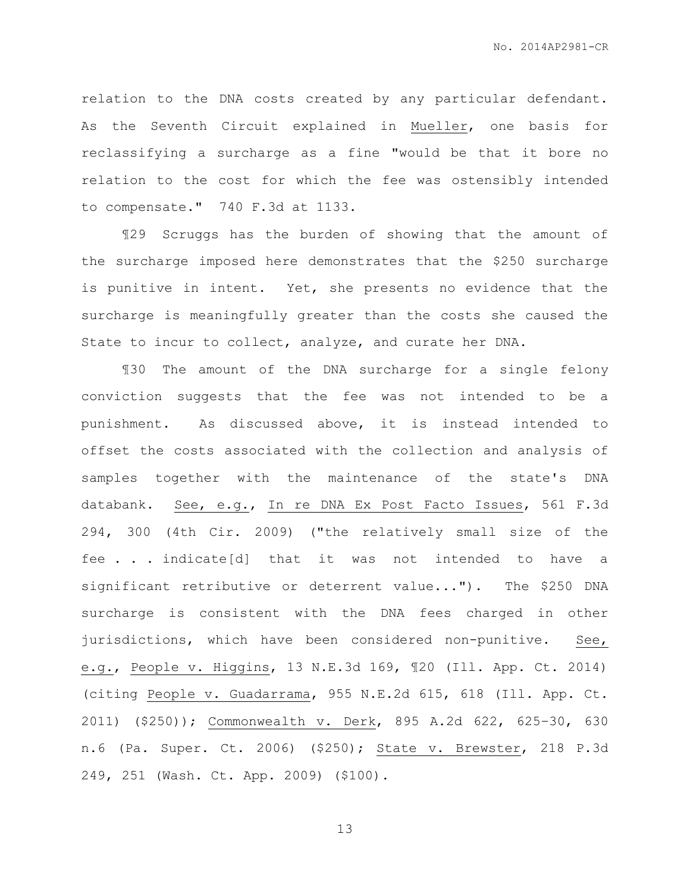relation to the DNA costs created by any particular defendant. As the Seventh Circuit explained in Mueller, one basis for reclassifying a surcharge as a fine "would be that it bore no relation to the cost for which the fee was ostensibly intended to compensate." 740 F.3d at 1133.

¶29 Scruggs has the burden of showing that the amount of the surcharge imposed here demonstrates that the \$250 surcharge is punitive in intent. Yet, she presents no evidence that the surcharge is meaningfully greater than the costs she caused the State to incur to collect, analyze, and curate her DNA.

¶30 The amount of the DNA surcharge for a single felony conviction suggests that the fee was not intended to be a punishment. As discussed above, it is instead intended to offset the costs associated with the collection and analysis of samples together with the maintenance of the state's DNA databank. See, e.g., In re DNA Ex Post Facto Issues, 561 F.3d 294, 300 (4th Cir. 2009) ("the relatively small size of the fee . . . indicate[d] that it was not intended to have significant retributive or deterrent value..."). The \$250 DNA surcharge is consistent with the DNA fees charged in other jurisdictions, which have been considered non-punitive. See, e.g., People v. Higgins, 13 N.E.3d 169, ¶20 (Ill. App. Ct. 2014) (citing People v. Guadarrama, 955 N.E.2d 615, 618 (Ill. App. Ct. 2011) (\$250)); Commonwealth v. Derk, 895 A.2d 622, 625–30, 630 n.6 (Pa. Super. Ct. 2006) (\$250); State v. Brewster, 218 P.3d 249, 251 (Wash. Ct. App. 2009) (\$100).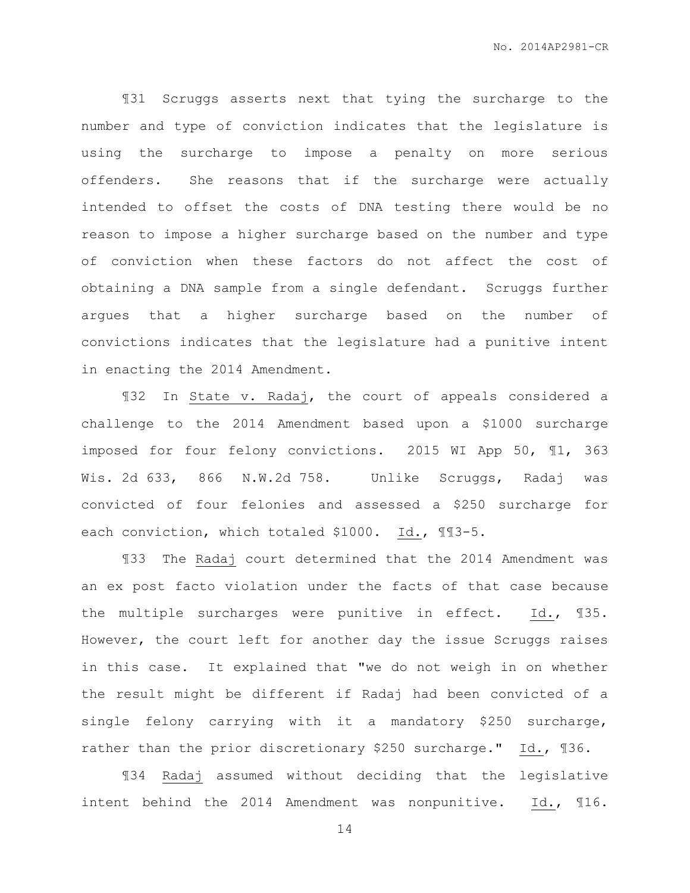¶31 Scruggs asserts next that tying the surcharge to the number and type of conviction indicates that the legislature is using the surcharge to impose a penalty on more serious offenders. She reasons that if the surcharge were actually intended to offset the costs of DNA testing there would be no reason to impose a higher surcharge based on the number and type of conviction when these factors do not affect the cost of obtaining a DNA sample from a single defendant. Scruggs further argues that a higher surcharge based on the number of convictions indicates that the legislature had a punitive intent in enacting the 2014 Amendment.

¶32 In State v. Radaj, the court of appeals considered a challenge to the 2014 Amendment based upon a \$1000 surcharge imposed for four felony convictions. 2015 WI App 50, ¶1, 363 Wis. 2d 633, 866 N.W.2d 758. Unlike Scruggs, Radaj was convicted of four felonies and assessed a \$250 surcharge for each conviction, which totaled \$1000. Id., ¶¶3-5.

¶33 The Radaj court determined that the 2014 Amendment was an ex post facto violation under the facts of that case because the multiple surcharges were punitive in effect. Id., ¶35. However, the court left for another day the issue Scruggs raises in this case. It explained that "we do not weigh in on whether the result might be different if Radaj had been convicted of a single felony carrying with it a mandatory \$250 surcharge, rather than the prior discretionary \$250 surcharge." Id., ¶36.

¶34 Radaj assumed without deciding that the legislative intent behind the 2014 Amendment was nonpunitive. Id., ¶16.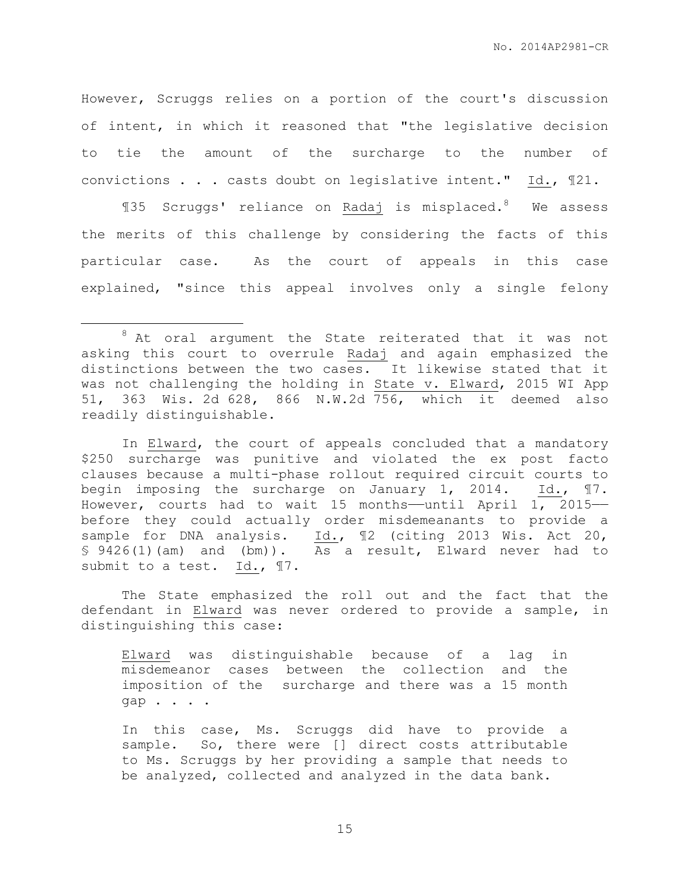However, Scruggs relies on a portion of the court's discussion of intent, in which it reasoned that "the legislative decision to tie the amount of the surcharge to the number of convictions . . . casts doubt on legislative intent." Id., ¶21.

¶35 Scruggs' reliance on Radaj is misplaced. <sup>8</sup> We assess the merits of this challenge by considering the facts of this particular case. As the court of appeals in this case explained, "since this appeal involves only a single felony

 $\overline{a}$ 

In Elward, the court of appeals concluded that a mandatory \$250 surcharge was punitive and violated the ex post facto clauses because a multi-phase rollout required circuit courts to begin imposing the surcharge on January 1, 2014. Id., ¶7. However, courts had to wait 15 months——until April 1, 2015— before they could actually order misdemeanants to provide a sample for DNA analysis. Id., 12 (citing 2013 Wis. Act 20, § 9426(1)(am) and (bm)). As a result, Elward never had to submit to a test. Id.,  $\P$ 7.

The State emphasized the roll out and the fact that the defendant in Elward was never ordered to provide a sample, in distinguishing this case:

Elward was distinguishable because of a lag in misdemeanor cases between the collection and the imposition of the surcharge and there was a 15 month gap . . . .

In this case, Ms. Scruggs did have to provide a sample. So, there were [] direct costs attributable to Ms. Scruggs by her providing a sample that needs to be analyzed, collected and analyzed in the data bank.

 $8$  At oral argument the State reiterated that it was not asking this court to overrule Radaj and again emphasized the distinctions between the two cases. It likewise stated that it was not challenging the holding in State v. Elward, 2015 WI App 51, 363 Wis. 2d 628, 866 N.W.2d 756, which it deemed also readily distinguishable.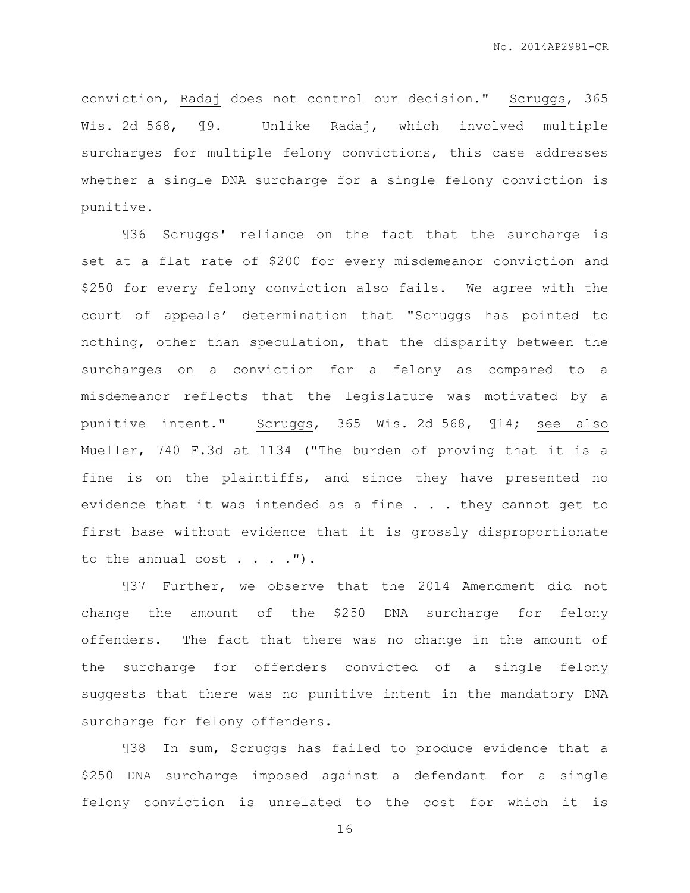conviction, Radaj does not control our decision." Scruggs, 365 Wis. 2d 568, ¶9. Unlike Radaj, which involved multiple surcharges for multiple felony convictions, this case addresses whether a single DNA surcharge for a single felony conviction is punitive.

¶36 Scruggs' reliance on the fact that the surcharge is set at a flat rate of \$200 for every misdemeanor conviction and \$250 for every felony conviction also fails. We agree with the court of appeals' determination that "Scruggs has pointed to nothing, other than speculation, that the disparity between the surcharges on a conviction for a felony as compared to a misdemeanor reflects that the legislature was motivated by a punitive intent." Scruggs, 365 Wis. 2d 568, ¶14; see also Mueller, 740 F.3d at 1134 ("The burden of proving that it is a fine is on the plaintiffs, and since they have presented no evidence that it was intended as a fine . . . they cannot get to first base without evidence that it is grossly disproportionate to the annual cost  $\ldots$ .").

¶37 Further, we observe that the 2014 Amendment did not change the amount of the \$250 DNA surcharge for felony offenders. The fact that there was no change in the amount of the surcharge for offenders convicted of a single felony suggests that there was no punitive intent in the mandatory DNA surcharge for felony offenders.

¶38 In sum, Scruggs has failed to produce evidence that a \$250 DNA surcharge imposed against a defendant for a single felony conviction is unrelated to the cost for which it is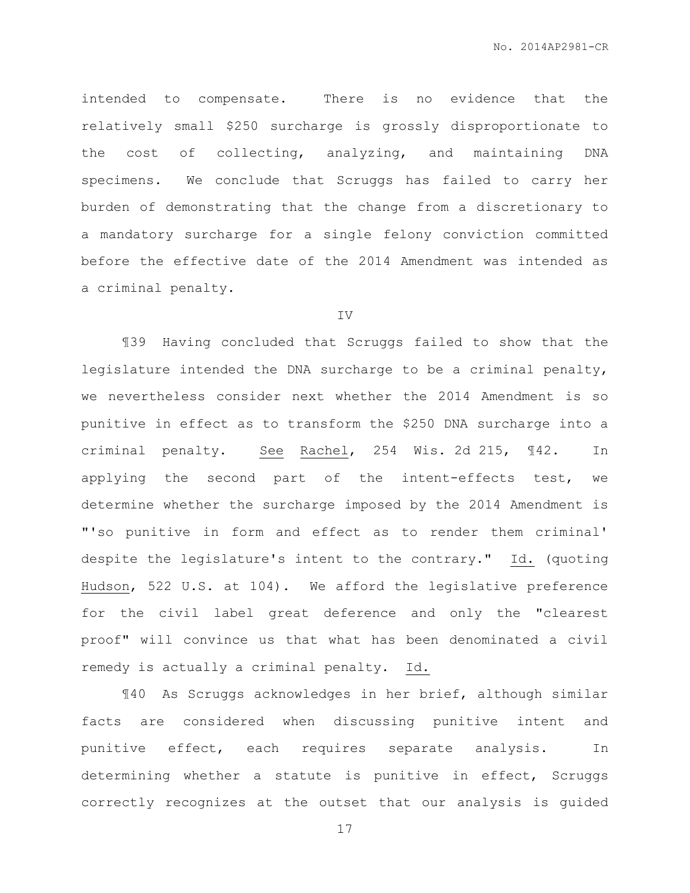intended to compensate. There is no evidence that the relatively small \$250 surcharge is grossly disproportionate to the cost of collecting, analyzing, and maintaining DNA specimens. We conclude that Scruggs has failed to carry her burden of demonstrating that the change from a discretionary to a mandatory surcharge for a single felony conviction committed before the effective date of the 2014 Amendment was intended as a criminal penalty.

### IV

¶39 Having concluded that Scruggs failed to show that the legislature intended the DNA surcharge to be a criminal penalty, we nevertheless consider next whether the 2014 Amendment is so punitive in effect as to transform the \$250 DNA surcharge into a criminal penalty. See Rachel, 254 Wis. 2d 215, 142. In applying the second part of the intent-effects test, we determine whether the surcharge imposed by the 2014 Amendment is "'so punitive in form and effect as to render them criminal' despite the legislature's intent to the contrary." Id. (quoting Hudson, 522 U.S. at 104). We afford the legislative preference for the civil label great deference and only the "clearest proof" will convince us that what has been denominated a civil remedy is actually a criminal penalty. Id.

¶40 As Scruggs acknowledges in her brief, although similar facts are considered when discussing punitive intent and punitive effect, each requires separate analysis. In determining whether a statute is punitive in effect, Scruggs correctly recognizes at the outset that our analysis is guided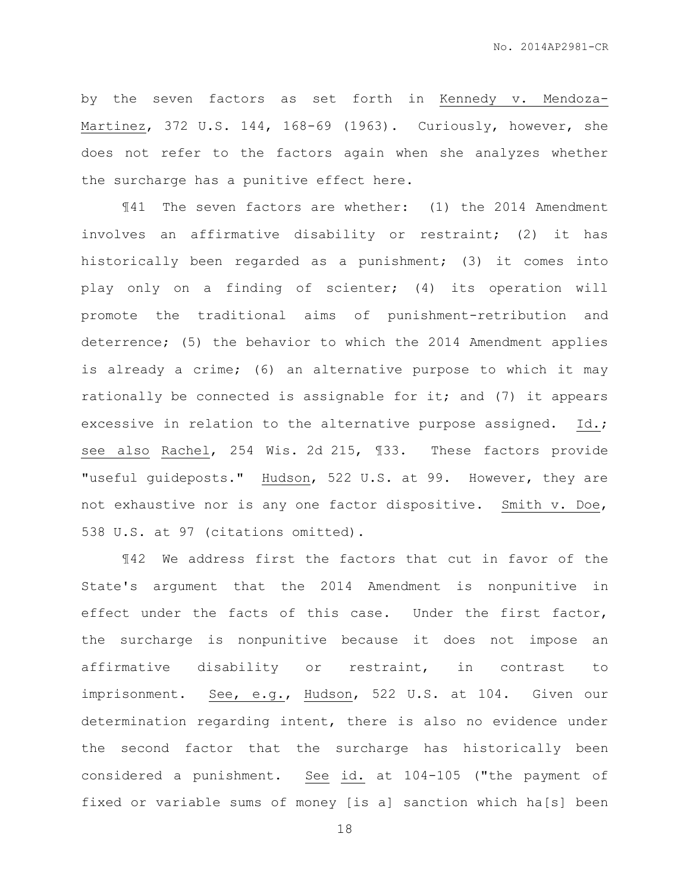by the seven factors as set forth in Kennedy v. Mendoza-Martinez, 372 U.S. 144, 168-69 (1963). Curiously, however, she does not refer to the factors again when she analyzes whether the surcharge has a punitive effect here.

¶41 The seven factors are whether: (1) the 2014 Amendment involves an affirmative disability or restraint; (2) it has historically been regarded as a punishment; (3) it comes into play only on a finding of scienter; (4) its operation will promote the traditional aims of punishment-retribution and deterrence; (5) the behavior to which the 2014 Amendment applies is already a crime; (6) an alternative purpose to which it may rationally be connected is assignable for it; and (7) it appears excessive in relation to the alternative purpose assigned. Id.; see also Rachel, 254 Wis. 2d 215, ¶33. These factors provide "useful guideposts." Hudson, 522 U.S. at 99. However, they are not exhaustive nor is any one factor dispositive. Smith v. Doe, 538 U.S. at 97 (citations omitted).

¶42 We address first the factors that cut in favor of the State's argument that the 2014 Amendment is nonpunitive in effect under the facts of this case. Under the first factor, the surcharge is nonpunitive because it does not impose an affirmative disability or restraint, in contrast to imprisonment. See, e.g., Hudson, 522 U.S. at 104. Given our determination regarding intent, there is also no evidence under the second factor that the surcharge has historically been considered a punishment. See id. at 104-105 ("the payment of fixed or variable sums of money [is a] sanction which ha[s] been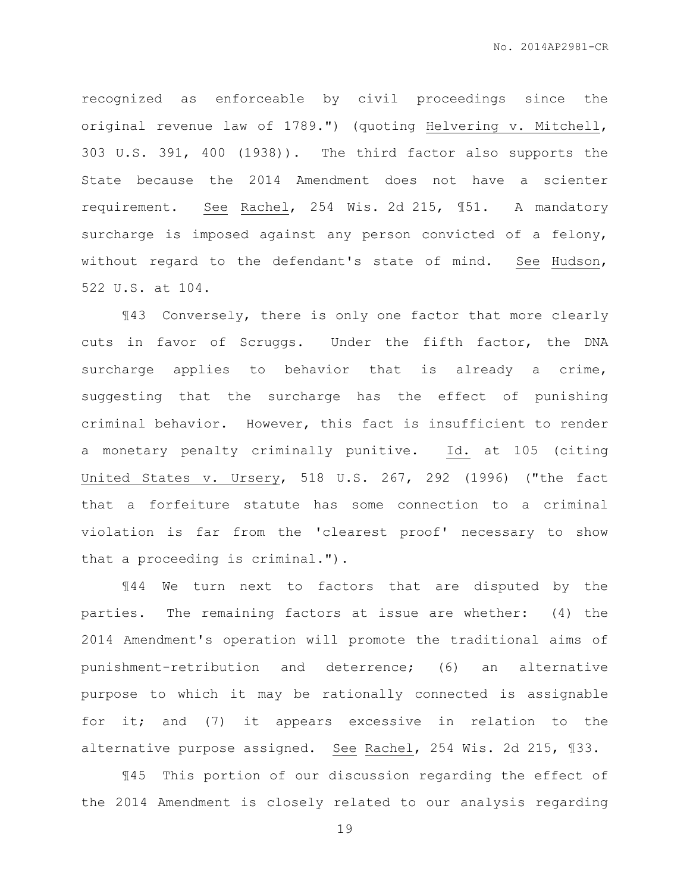recognized as enforceable by civil proceedings since the original revenue law of 1789.") (quoting Helvering v. Mitchell, 303 U.S. 391, 400 (1938)). The third factor also supports the State because the 2014 Amendment does not have a scienter requirement. See Rachel, 254 Wis. 2d 215, ¶51. A mandatory surcharge is imposed against any person convicted of a felony, without regard to the defendant's state of mind. See Hudson, 522 U.S. at 104.

¶43 Conversely, there is only one factor that more clearly cuts in favor of Scruggs. Under the fifth factor, the DNA surcharge applies to behavior that is already a crime, suggesting that the surcharge has the effect of punishing criminal behavior. However, this fact is insufficient to render a monetary penalty criminally punitive. Id. at 105 (citing United States v. Ursery, 518 U.S. 267, 292 (1996) ("the fact that a forfeiture statute has some connection to a criminal violation is far from the 'clearest proof' necessary to show that a proceeding is criminal.").

¶44 We turn next to factors that are disputed by the parties. The remaining factors at issue are whether: (4) the 2014 Amendment's operation will promote the traditional aims of punishment-retribution and deterrence; (6) an alternative purpose to which it may be rationally connected is assignable for it; and (7) it appears excessive in relation to the alternative purpose assigned. See Rachel, 254 Wis. 2d 215, ¶33.

¶45 This portion of our discussion regarding the effect of the 2014 Amendment is closely related to our analysis regarding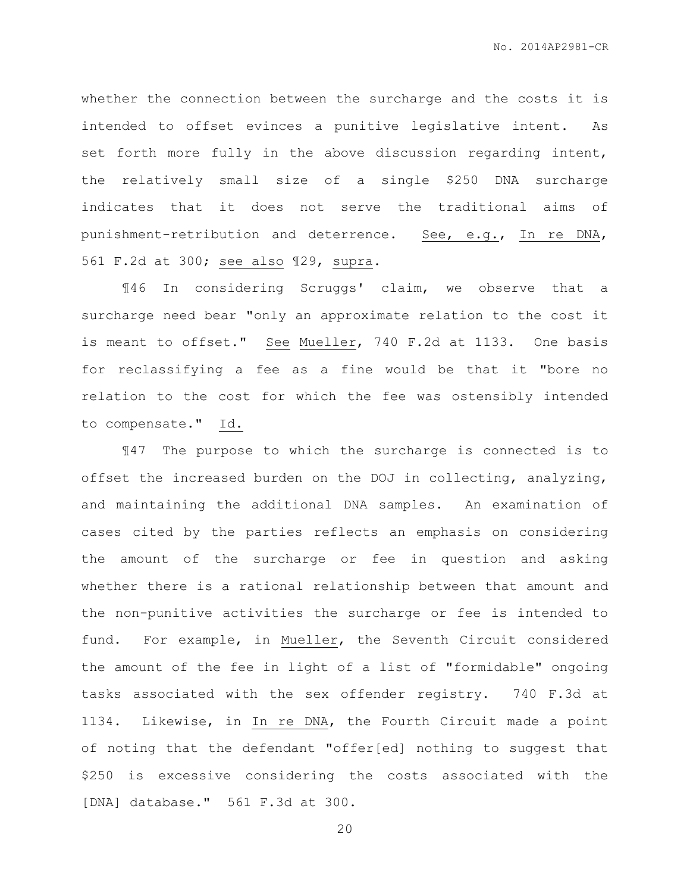whether the connection between the surcharge and the costs it is intended to offset evinces a punitive legislative intent. As set forth more fully in the above discussion regarding intent, the relatively small size of a single \$250 DNA surcharge indicates that it does not serve the traditional aims of punishment-retribution and deterrence. See, e.g., In re DNA, 561 F.2d at 300; see also ¶29, supra.

¶46 In considering Scruggs' claim, we observe that a surcharge need bear "only an approximate relation to the cost it is meant to offset." See Mueller, 740 F.2d at 1133. One basis for reclassifying a fee as a fine would be that it "bore no relation to the cost for which the fee was ostensibly intended to compensate." Id.

¶47 The purpose to which the surcharge is connected is to offset the increased burden on the DOJ in collecting, analyzing, and maintaining the additional DNA samples. An examination of cases cited by the parties reflects an emphasis on considering the amount of the surcharge or fee in question and asking whether there is a rational relationship between that amount and the non-punitive activities the surcharge or fee is intended to fund. For example, in Mueller, the Seventh Circuit considered the amount of the fee in light of a list of "formidable" ongoing tasks associated with the sex offender registry. 740 F.3d at 1134. Likewise, in In re DNA, the Fourth Circuit made a point of noting that the defendant "offer[ed] nothing to suggest that \$250 is excessive considering the costs associated with the [DNA] database." 561 F.3d at 300.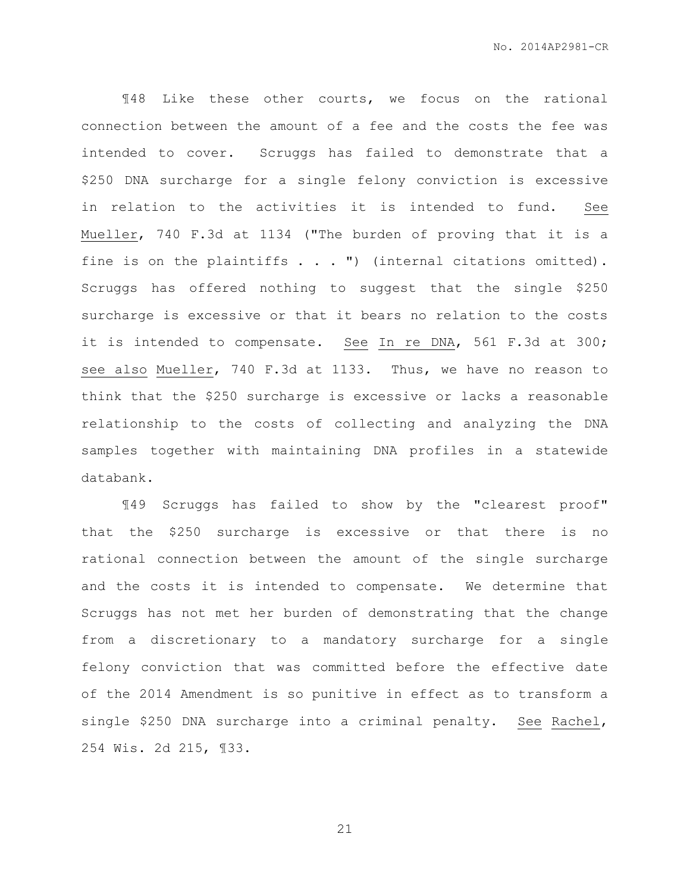¶48 Like these other courts, we focus on the rational connection between the amount of a fee and the costs the fee was intended to cover. Scruggs has failed to demonstrate that a \$250 DNA surcharge for a single felony conviction is excessive in relation to the activities it is intended to fund. See Mueller, 740 F.3d at 1134 ("The burden of proving that it is a fine is on the plaintiffs  $\ldots$  ") (internal citations omitted). Scruggs has offered nothing to suggest that the single \$250 surcharge is excessive or that it bears no relation to the costs it is intended to compensate. See In re DNA, 561 F.3d at 300; see also Mueller, 740 F.3d at 1133. Thus, we have no reason to think that the \$250 surcharge is excessive or lacks a reasonable relationship to the costs of collecting and analyzing the DNA samples together with maintaining DNA profiles in a statewide databank.

¶49 Scruggs has failed to show by the "clearest proof" that the \$250 surcharge is excessive or that there is no rational connection between the amount of the single surcharge and the costs it is intended to compensate. We determine that Scruggs has not met her burden of demonstrating that the change from a discretionary to a mandatory surcharge for a single felony conviction that was committed before the effective date of the 2014 Amendment is so punitive in effect as to transform a single \$250 DNA surcharge into a criminal penalty. See Rachel, 254 Wis. 2d 215, ¶33.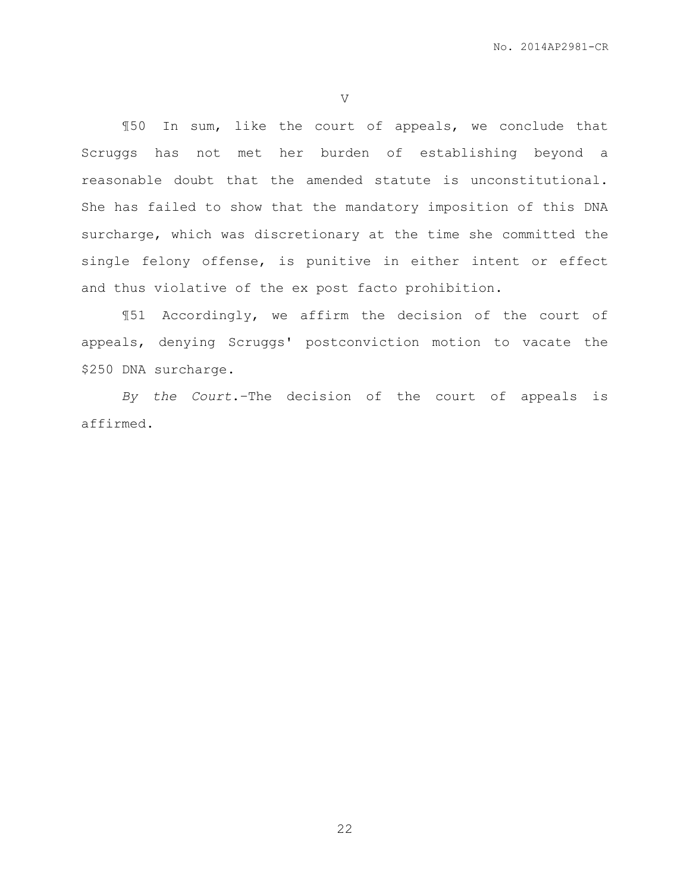V

¶50 In sum, like the court of appeals, we conclude that Scruggs has not met her burden of establishing beyond a reasonable doubt that the amended statute is unconstitutional. She has failed to show that the mandatory imposition of this DNA surcharge, which was discretionary at the time she committed the single felony offense, is punitive in either intent or effect and thus violative of the ex post facto prohibition.

¶51 Accordingly, we affirm the decision of the court of appeals, denying Scruggs' postconviction motion to vacate the \$250 DNA surcharge.

*By the Court*.–The decision of the court of appeals is affirmed.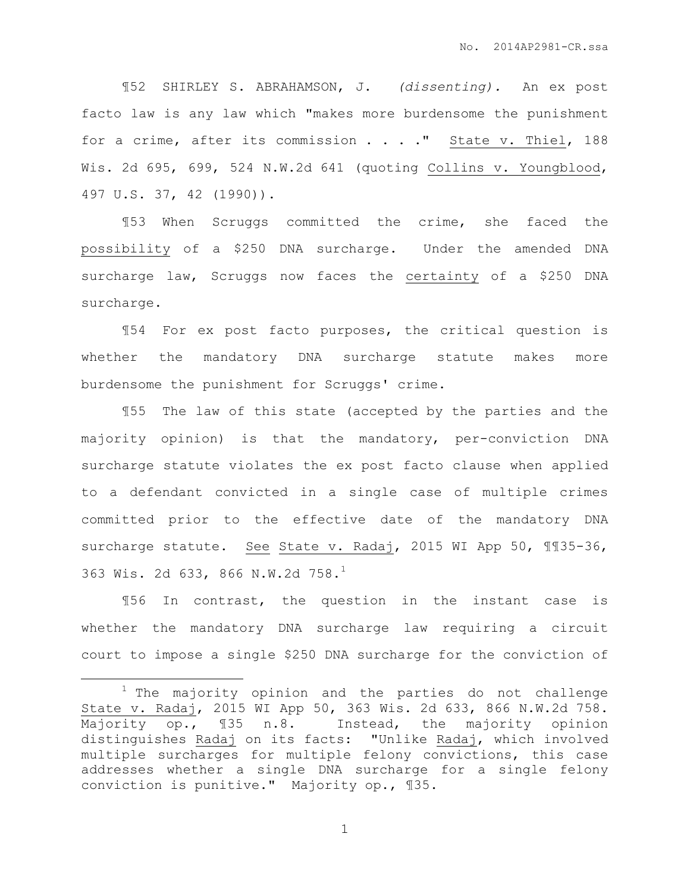¶52 SHIRLEY S. ABRAHAMSON, J. *(dissenting).* An ex post facto law is any law which "makes more burdensome the punishment for a crime, after its commission . . . . " State v. Thiel, 188 Wis. 2d 695, 699, 524 N.W.2d 641 (quoting Collins v. Youngblood, 497 U.S. 37, 42 (1990)).

¶53 When Scruggs committed the crime, she faced the possibility of a \$250 DNA surcharge. Under the amended DNA surcharge law, Scruggs now faces the certainty of a \$250 DNA surcharge.

¶54 For ex post facto purposes, the critical question is whether the mandatory DNA surcharge statute makes more burdensome the punishment for Scruggs' crime.

¶55 The law of this state (accepted by the parties and the majority opinion) is that the mandatory, per-conviction DNA surcharge statute violates the ex post facto clause when applied to a defendant convicted in a single case of multiple crimes committed prior to the effective date of the mandatory DNA surcharge statute. See State v. Radaj, 2015 WI App 50, 1135-36, 363 Wis. 2d 633, 866 N.W.2d 758.<sup>1</sup>

¶56 In contrast, the question in the instant case is whether the mandatory DNA surcharge law requiring a circuit court to impose a single \$250 DNA surcharge for the conviction of

 $\overline{a}$ 

<sup>&</sup>lt;sup>1</sup> The majority opinion and the parties do not challenge State v. Radaj, 2015 WI App 50, 363 Wis. 2d 633, 866 N.W.2d 758. Majority op., ¶35 n.8. Instead, the majority opinion distinguishes Radaj on its facts: "Unlike Radaj, which involved multiple surcharges for multiple felony convictions, this case addresses whether a single DNA surcharge for a single felony conviction is punitive." Majority op., ¶35.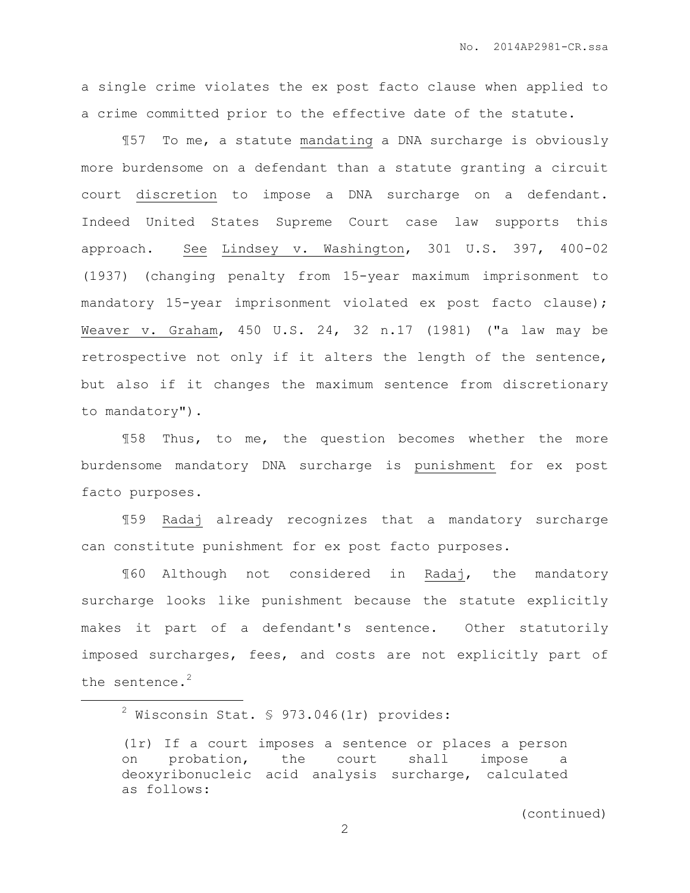a single crime violates the ex post facto clause when applied to a crime committed prior to the effective date of the statute.

¶57 To me, a statute mandating a DNA surcharge is obviously more burdensome on a defendant than a statute granting a circuit court discretion to impose a DNA surcharge on a defendant. Indeed United States Supreme Court case law supports this approach. See Lindsey v. Washington, 301 U.S. 397, 400-02 (1937) (changing penalty from 15-year maximum imprisonment to mandatory 15-year imprisonment violated ex post facto clause); Weaver v. Graham, 450 U.S. 24, 32 n.17 (1981) ("a law may be retrospective not only if it alters the length of the sentence, but also if it changes the maximum sentence from discretionary to mandatory").

¶58 Thus, to me, the question becomes whether the more burdensome mandatory DNA surcharge is punishment for ex post facto purposes.

¶59 Radaj already recognizes that a mandatory surcharge can constitute punishment for ex post facto purposes.

¶60 Although not considered in Radaj, the mandatory surcharge looks like punishment because the statute explicitly makes it part of a defendant's sentence. Other statutorily imposed surcharges, fees, and costs are not explicitly part of the sentence.<sup>2</sup>

 $\overline{a}$ 

 $2$  Wisconsin Stat. § 973.046(1r) provides:

<sup>(1</sup>r) If a court imposes a sentence or places a person on probation, the court shall impose a deoxyribonucleic acid analysis surcharge, calculated as follows: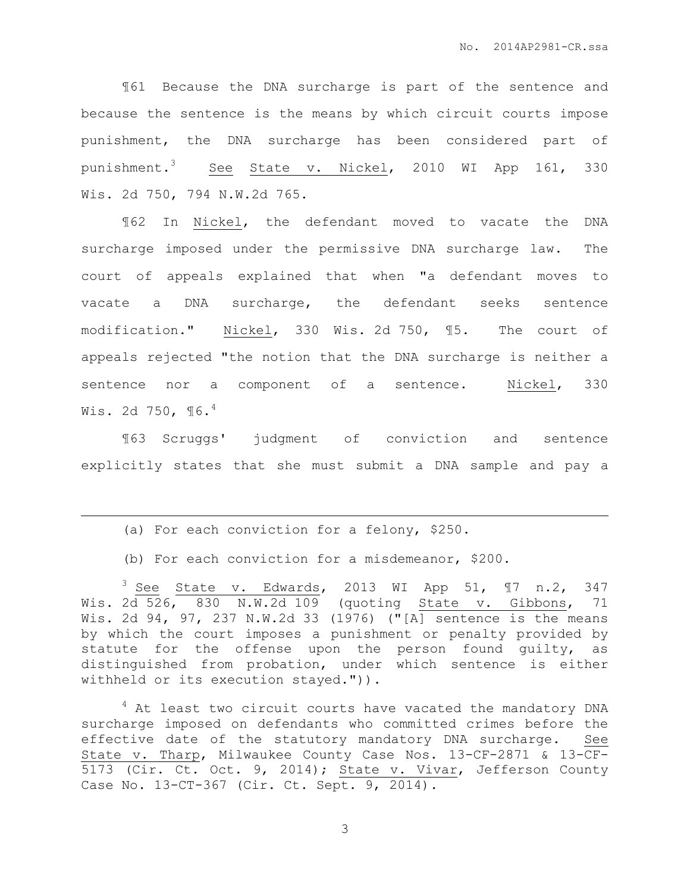¶61 Because the DNA surcharge is part of the sentence and because the sentence is the means by which circuit courts impose punishment, the DNA surcharge has been considered part of punishment.<sup>3</sup> See <u>State v. Nickel</u>, 2010 WI App 161, 330 Wis. 2d 750, 794 N.W.2d 765.

¶62 In Nickel, the defendant moved to vacate the DNA surcharge imposed under the permissive DNA surcharge law. The court of appeals explained that when "a defendant moves to vacate a DNA surcharge, the defendant seeks sentence modification." Nickel, 330 Wis. 2d 750, ¶5. The court of appeals rejected "the notion that the DNA surcharge is neither a sentence nor a component of a sentence. Nickel, 330 Wis. 2d 750,  $\P6.4$ 

¶63 Scruggs' judgment of conviction and sentence explicitly states that she must submit a DNA sample and pay a

(a) For each conviction for a felony, \$250.

 $\overline{a}$ 

(b) For each conviction for a misdemeanor, \$200.

 $3$  See State v. Edwards, 2013 WI App 51,  $\mathbb{I}7$  n.2, 347 Wis. 2d 526, 830 N.W.2d 109 (quoting State v. Gibbons, 71 Wis. 2d 94, 97, 237 N.W.2d 33 (1976) ("[A] sentence is the means by which the court imposes a punishment or penalty provided by statute for the offense upon the person found guilty, as distinguished from probation, under which sentence is either withheld or its execution stayed.")).

<sup>4</sup> At least two circuit courts have vacated the mandatory DNA surcharge imposed on defendants who committed crimes before the effective date of the statutory mandatory DNA surcharge. See State v. Tharp, Milwaukee County Case Nos. 13-CF-2871 & 13-CF-5173 (Cir. Ct. Oct. 9, 2014); State v. Vivar, Jefferson County Case No. 13-CT-367 (Cir. Ct. Sept. 9, 2014).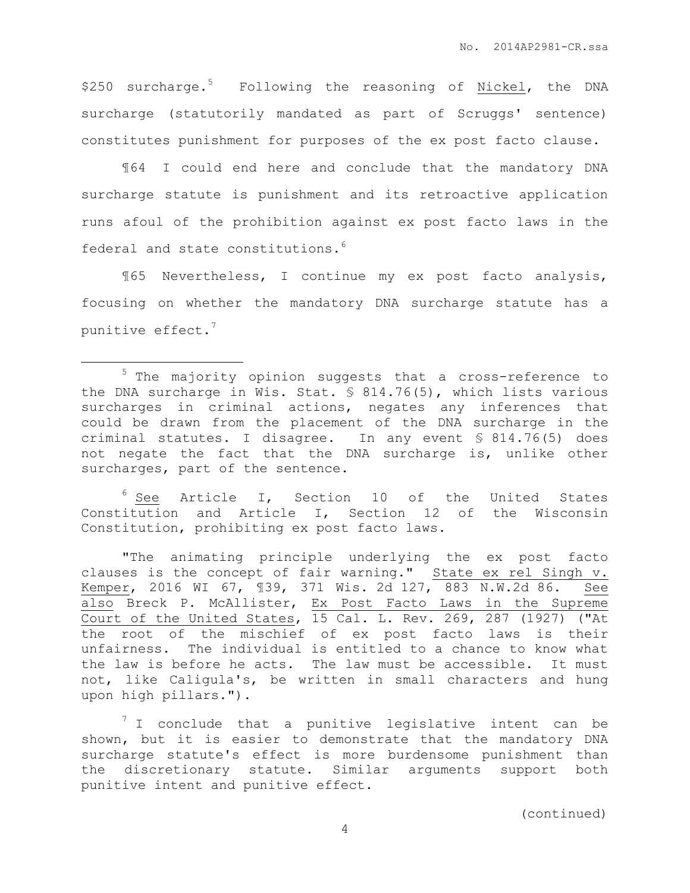\$250 surcharge.<sup>5</sup> Following the reasoning of Nickel, the DNA surcharge (statutorily mandated as part of Scruggs' sentence) constitutes punishment for purposes of the ex post facto clause.

¶64 I could end here and conclude that the mandatory DNA surcharge statute is punishment and its retroactive application runs afoul of the prohibition against ex post facto laws in the federal and state constitutions.<sup>6</sup>

¶65 Nevertheless, I continue my ex post facto analysis, focusing on whether the mandatory DNA surcharge statute has a punitive effect. $7$ 

 $\overline{a}$ 

 $6$  See Article I, Section 10 of the United States Constitution and Article I, Section 12 of the Wisconsin Constitution, prohibiting ex post facto laws.

"The animating principle underlying the ex post facto clauses is the concept of fair warning." State ex rel Singh v. Kemper, 2016 WI 67, ¶39, 371 Wis. 2d 127, 883 N.W.2d 86. See also Breck P. McAllister, Ex Post Facto Laws in the Supreme Court of the United States, 15 Cal. L. Rev. 269, 287 (1927) ("At the root of the mischief of ex post facto laws is their unfairness. The individual is entitled to a chance to know what the law is before he acts. The law must be accessible. It must not, like Caligula's, be written in small characters and hung upon high pillars.").

 $7$  I conclude that a punitive legislative intent can be shown, but it is easier to demonstrate that the mandatory DNA surcharge statute's effect is more burdensome punishment than the discretionary statute. Similar arguments support both punitive intent and punitive effect.

<sup>5</sup> The majority opinion suggests that a cross-reference to the DNA surcharge in Wis. Stat. § 814.76(5), which lists various surcharges in criminal actions, negates any inferences that could be drawn from the placement of the DNA surcharge in the criminal statutes. I disagree. In any event § 814.76(5) does not negate the fact that the DNA surcharge is, unlike other surcharges, part of the sentence.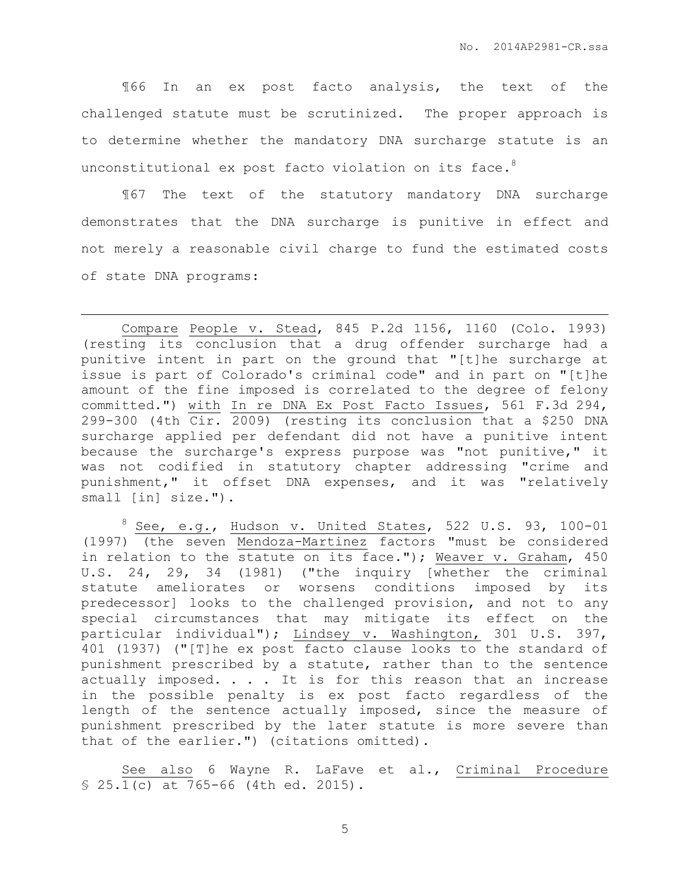¶66 In an ex post facto analysis, the text of the challenged statute must be scrutinized. The proper approach is to determine whether the mandatory DNA surcharge statute is an unconstitutional ex post facto violation on its face.<sup>8</sup>

¶67 The text of the statutory mandatory DNA surcharge demonstrates that the DNA surcharge is punitive in effect and not merely a reasonable civil charge to fund the estimated costs of state DNA programs:

 $\overline{a}$ 

Compare People v. Stead, 845 P.2d 1156, 1160 (Colo. 1993) (resting its conclusion that a drug offender surcharge had a punitive intent in part on the ground that "[t]he surcharge at issue is part of Colorado's criminal code" and in part on "[t]he amount of the fine imposed is correlated to the degree of felony committed.") with In re DNA Ex Post Facto Issues, 561 F.3d 294, 299-300 (4th Cir. 2009) (resting its conclusion that a \$250 DNA surcharge applied per defendant did not have a punitive intent because the surcharge's express purpose was "not punitive," it was not codified in statutory chapter addressing "crime and punishment," it offset DNA expenses, and it was "relatively small [in] size.").

 $8$  See, e.g., Hudson v. United States, 522 U.S. 93, 100-01 (1997) (the seven Mendoza-Martinez factors "must be considered in relation to the statute on its face."); Weaver v. Graham, 450 U.S. 24, 29, 34 (1981) ("the inquiry [whether the criminal statute ameliorates or worsens conditions imposed by its predecessor] looks to the challenged provision, and not to any special circumstances that may mitigate its effect on the particular individual"); Lindsey v. Washington, 301 U.S. 397, 401 (1937) ("[T]he ex post facto clause looks to the standard of punishment prescribed by a statute, rather than to the sentence actually imposed. . . . It is for this reason that an increase in the possible penalty is ex post facto regardless of the length of the sentence actually imposed, since the measure of punishment prescribed by the later statute is more severe than that of the earlier.") (citations omitted).

See also 6 Wayne R. LaFave et al., Criminal Procedure § 25.1(c) at 765-66 (4th ed. 2015).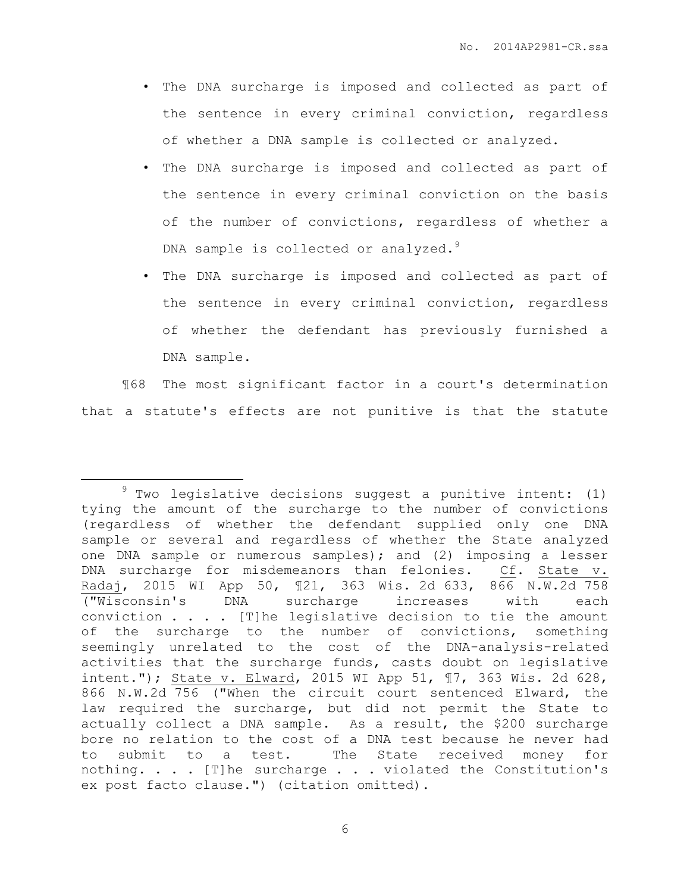- The DNA surcharge is imposed and collected as part of the sentence in every criminal conviction, regardless of whether a DNA sample is collected or analyzed.
- The DNA surcharge is imposed and collected as part of the sentence in every criminal conviction on the basis of the number of convictions, regardless of whether a DNA sample is collected or analyzed.<sup>9</sup>
- The DNA surcharge is imposed and collected as part of the sentence in every criminal conviction, regardless of whether the defendant has previously furnished a DNA sample.

¶68 The most significant factor in a court's determination that a statute's effects are not punitive is that the statute

 $\overline{a}$ 

 $9$  Two legislative decisions suggest a punitive intent: (1) tying the amount of the surcharge to the number of convictions (regardless of whether the defendant supplied only one DNA sample or several and regardless of whether the State analyzed one DNA sample or numerous samples); and (2) imposing a lesser DNA surcharge for misdemeanors than felonies. Cf. State v. Radaj, 2015 WI App 50, ¶21, 363 Wis. 2d 633, 866 N.W.2d 758 ("Wisconsin's DNA surcharge increases with each conviction . . . . [T]he legislative decision to tie the amount of the surcharge to the number of convictions, something seemingly unrelated to the cost of the DNA-analysis-related activities that the surcharge funds, casts doubt on legislative intent."); State v. Elward, 2015 WI App 51, ¶7, 363 Wis. 2d 628, 866 N.W.2d 756 ("When the circuit court sentenced Elward, the law required the surcharge, but did not permit the State to actually collect a DNA sample. As a result, the \$200 surcharge bore no relation to the cost of a DNA test because he never had to submit to a test. The State received money for nothing. . . . [T]he surcharge . . . violated the Constitution's ex post facto clause.") (citation omitted).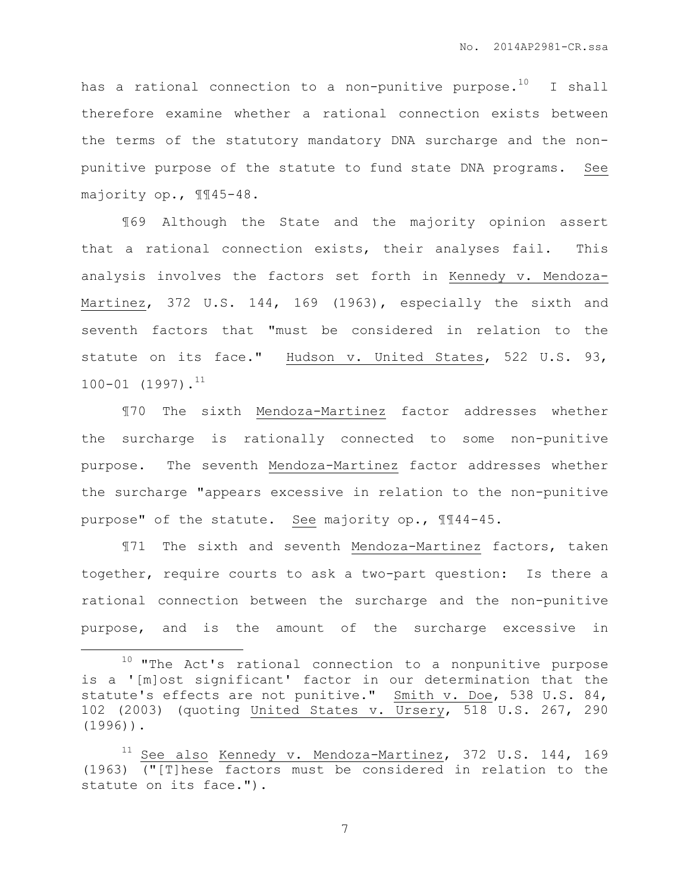has a rational connection to a non-punitive purpose.<sup>10</sup> I shall therefore examine whether a rational connection exists between the terms of the statutory mandatory DNA surcharge and the nonpunitive purpose of the statute to fund state DNA programs. See majority op., ¶¶45-48.

¶69 Although the State and the majority opinion assert that a rational connection exists, their analyses fail. This analysis involves the factors set forth in Kennedy v. Mendoza-Martinez, 372 U.S. 144, 169 (1963), especially the sixth and seventh factors that "must be considered in relation to the statute on its face." Hudson v. United States, 522 U.S. 93,  $100-01$   $(1997)$ .<sup>11</sup>

¶70 The sixth Mendoza-Martinez factor addresses whether the surcharge is rationally connected to some non-punitive purpose. The seventh Mendoza-Martinez factor addresses whether the surcharge "appears excessive in relation to the non-punitive purpose" of the statute. See majority op., ¶¶44-45.

¶71 The sixth and seventh Mendoza-Martinez factors, taken together, require courts to ask a two-part question: Is there a rational connection between the surcharge and the non-punitive purpose, and is the amount of the surcharge excessive in

 $\overline{a}$ 

 $10$  "The Act's rational connection to a nonpunitive purpose is a '[m]ost significant' factor in our determination that the statute's effects are not punitive." Smith v. Doe, 538 U.S. 84, 102 (2003) (quoting United States v. Ursery, 518 U.S. 267, 290 (1996)).

<sup>&</sup>lt;sup>11</sup> See also Kennedy v. Mendoza-Martinez, 372 U.S. 144, 169 (1963) ("[T]hese factors must be considered in relation to the statute on its face.").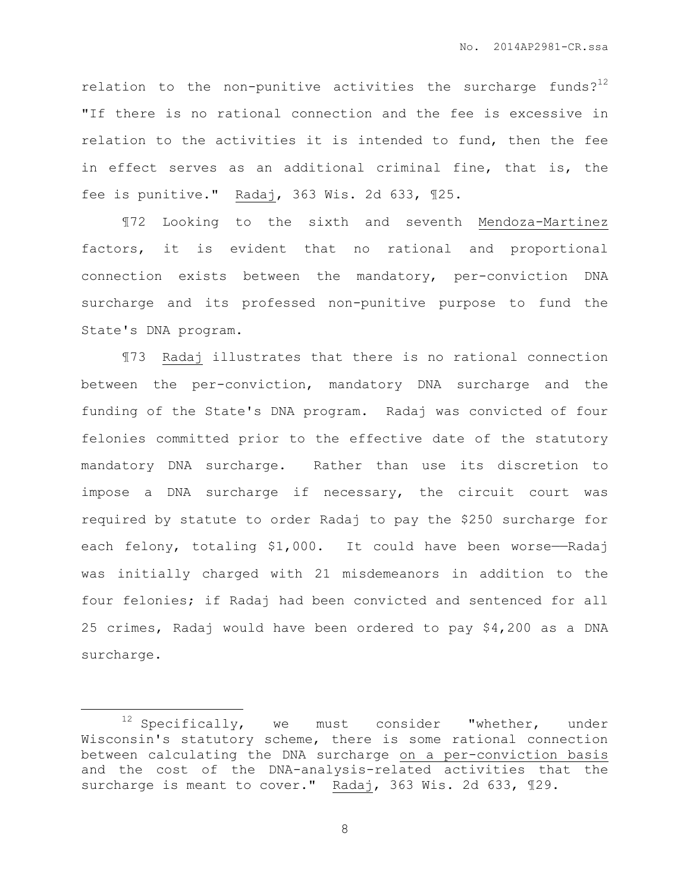relation to the non-punitive activities the surcharge funds? $12$ "If there is no rational connection and the fee is excessive in relation to the activities it is intended to fund, then the fee in effect serves as an additional criminal fine, that is, the fee is punitive." Radaj, 363 Wis. 2d 633, ¶25.

¶72 Looking to the sixth and seventh Mendoza-Martinez factors, it is evident that no rational and proportional connection exists between the mandatory, per-conviction DNA surcharge and its professed non-punitive purpose to fund the State's DNA program.

¶73 Radaj illustrates that there is no rational connection between the per-conviction, mandatory DNA surcharge and the funding of the State's DNA program. Radaj was convicted of four felonies committed prior to the effective date of the statutory mandatory DNA surcharge. Rather than use its discretion to impose a DNA surcharge if necessary, the circuit court was required by statute to order Radaj to pay the \$250 surcharge for each felony, totaling \$1,000. It could have been worse-Radaj was initially charged with 21 misdemeanors in addition to the four felonies; if Radaj had been convicted and sentenced for all 25 crimes, Radaj would have been ordered to pay \$4,200 as a DNA surcharge.

 $\overline{a}$ 

 $12$  Specifically, we must consider "whether, under Wisconsin's statutory scheme, there is some rational connection between calculating the DNA surcharge on a per-conviction basis and the cost of the DNA-analysis-related activities that the surcharge is meant to cover." Radaj, 363 Wis. 2d 633, ¶29.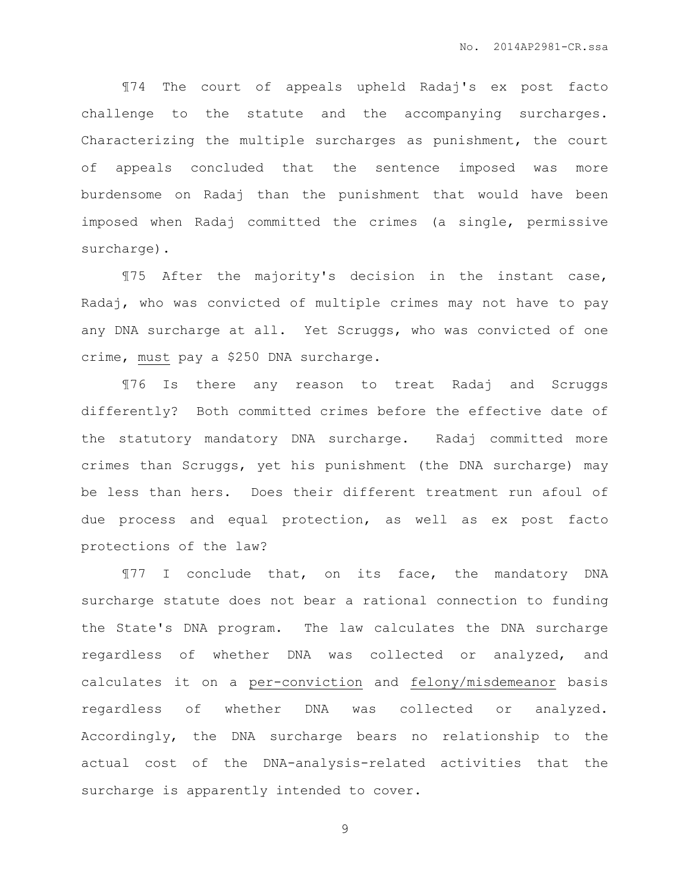¶74 The court of appeals upheld Radaj's ex post facto challenge to the statute and the accompanying surcharges. Characterizing the multiple surcharges as punishment, the court of appeals concluded that the sentence imposed was more burdensome on Radaj than the punishment that would have been imposed when Radaj committed the crimes (a single, permissive surcharge).

¶75 After the majority's decision in the instant case, Radaj, who was convicted of multiple crimes may not have to pay any DNA surcharge at all. Yet Scruggs, who was convicted of one crime, must pay a \$250 DNA surcharge.

¶76 Is there any reason to treat Radaj and Scruggs differently? Both committed crimes before the effective date of the statutory mandatory DNA surcharge. Radaj committed more crimes than Scruggs, yet his punishment (the DNA surcharge) may be less than hers. Does their different treatment run afoul of due process and equal protection, as well as ex post facto protections of the law?

¶77 I conclude that, on its face, the mandatory DNA surcharge statute does not bear a rational connection to funding the State's DNA program. The law calculates the DNA surcharge regardless of whether DNA was collected or analyzed, and calculates it on a per-conviction and felony/misdemeanor basis regardless of whether DNA was collected or analyzed. Accordingly, the DNA surcharge bears no relationship to the actual cost of the DNA-analysis-related activities that the surcharge is apparently intended to cover.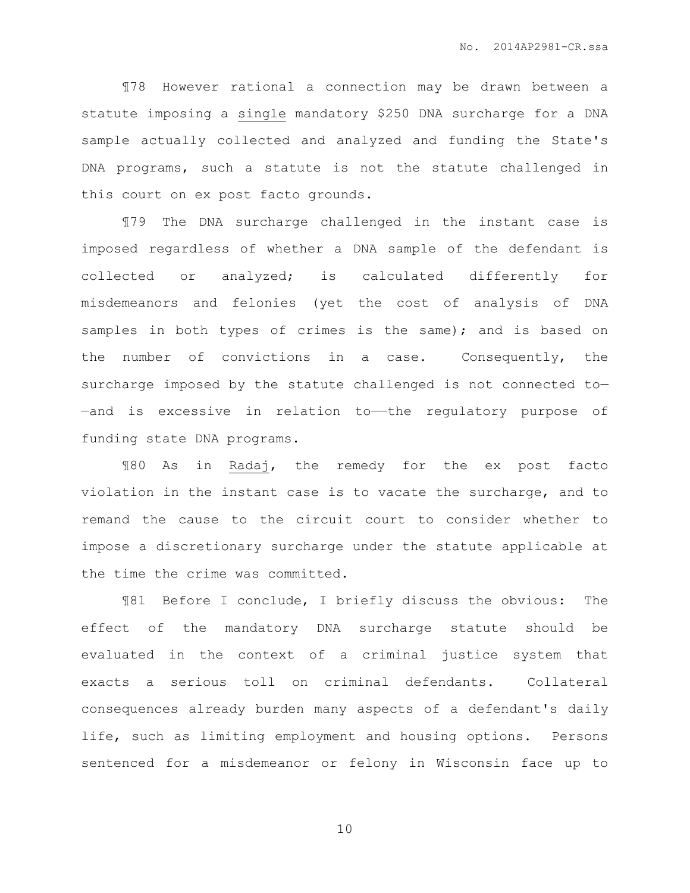¶78 However rational a connection may be drawn between a statute imposing a single mandatory \$250 DNA surcharge for a DNA sample actually collected and analyzed and funding the State's DNA programs, such a statute is not the statute challenged in this court on ex post facto grounds.

¶79 The DNA surcharge challenged in the instant case is imposed regardless of whether a DNA sample of the defendant is collected or analyzed; is calculated differently for misdemeanors and felonies (yet the cost of analysis of DNA samples in both types of crimes is the same); and is based on the number of convictions in a case. Consequently, the surcharge imposed by the statute challenged is not connected to— —and is excessive in relation to——the regulatory purpose of funding state DNA programs.

¶80 As in Radaj, the remedy for the ex post facto violation in the instant case is to vacate the surcharge, and to remand the cause to the circuit court to consider whether to impose a discretionary surcharge under the statute applicable at the time the crime was committed.

¶81 Before I conclude, I briefly discuss the obvious: The effect of the mandatory DNA surcharge statute should be evaluated in the context of a criminal justice system that exacts a serious toll on criminal defendants. Collateral consequences already burden many aspects of a defendant's daily life, such as limiting employment and housing options. Persons sentenced for a misdemeanor or felony in Wisconsin face up to